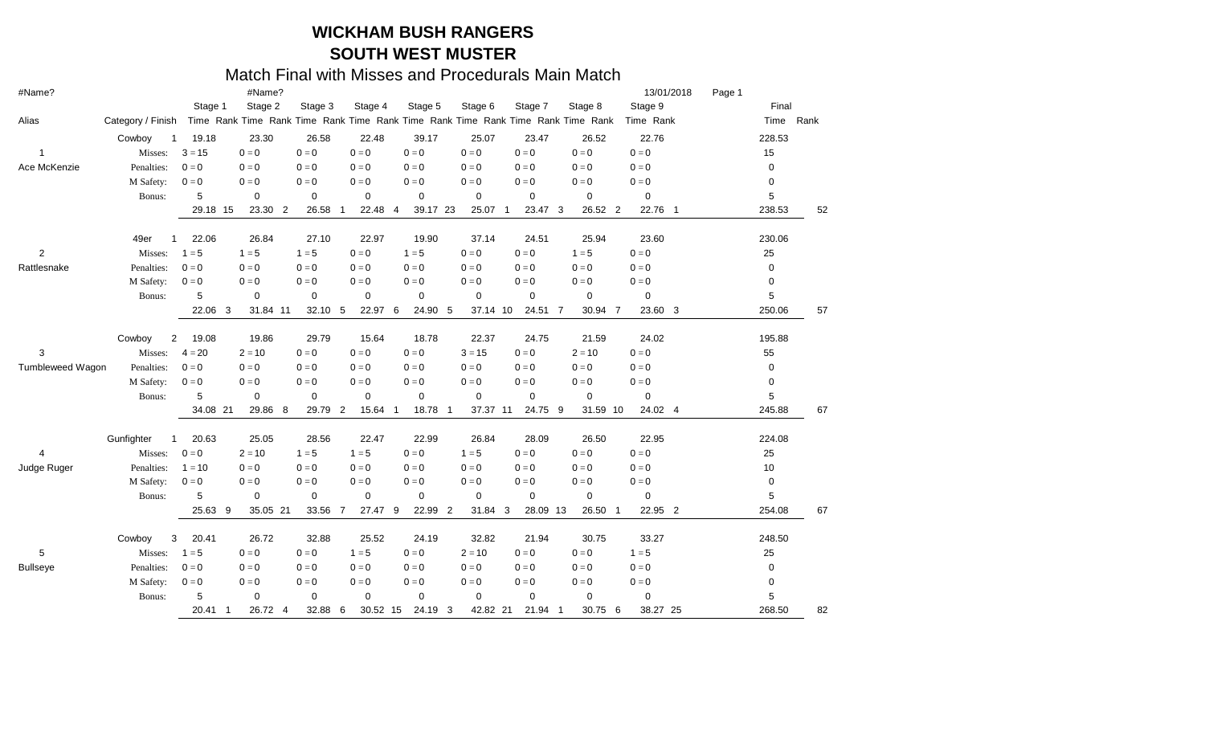| #Name?           |                        |                         | #Name?                                                                          |             |             |             |                |             |                |             |   |             |             |    | 13/01/2018  |     | Page 1 |        |           |
|------------------|------------------------|-------------------------|---------------------------------------------------------------------------------|-------------|-------------|-------------|----------------|-------------|----------------|-------------|---|-------------|-------------|----|-------------|-----|--------|--------|-----------|
|                  |                        | Stage 1                 | Stage 2                                                                         |             | Stage 3     | Stage 4     |                | Stage 5     |                | Stage 6     |   | Stage 7     | Stage 8     |    | Stage 9     |     |        | Final  |           |
| Alias            | Category / Finish      |                         | Time Rank Time Rank Time Rank Time Rank Time Rank Time Rank Time Rank Time Rank |             |             |             |                |             |                |             |   |             |             |    | Time Rank   |     |        |        | Time Rank |
|                  | Cowboy<br>$\mathbf{1}$ | 19.18                   | 23.30                                                                           |             | 26.58       | 22.48       |                | 39.17       |                | 25.07       |   | 23.47       | 26.52       |    | 22.76       |     |        | 228.53 |           |
| 1                | Misses:                | $3 = 15$                | $0 = 0$                                                                         | $0 = 0$     |             | $0 = 0$     |                | $0 = 0$     |                | $0 = 0$     |   | $0 = 0$     | $0 = 0$     |    | $0 = 0$     |     |        | 15     |           |
| Ace McKenzie     | Penalties:             | $0 = 0$                 | $0 = 0$                                                                         | $0 = 0$     |             | $0 = 0$     |                | $0 = 0$     |                | $0 = 0$     |   | $0 = 0$     | $0 = 0$     |    | $0 = 0$     |     |        | 0      |           |
|                  | M Safety:              | $0 = 0$                 | $0 = 0$                                                                         | $0 = 0$     |             | $0 = 0$     |                | $0 = 0$     |                | $0 = 0$     |   | $0 = 0$     | $0 = 0$     |    | $0 = 0$     |     |        | 0      |           |
|                  | Bonus:                 | 5                       | $\mathbf 0$                                                                     | $\mathbf 0$ |             | $\mathbf 0$ |                | $\mathbf 0$ |                | $\mathbf 0$ |   | $\mathbf 0$ | $\mathbf 0$ |    | $\mathbf 0$ |     |        | 5      |           |
|                  |                        | 29.18 15                | 23.30 2                                                                         |             | 26.58<br>-1 | 22.48       | -4             | 39.17 23    |                | 25.07 1     |   | 23.47 3     | 26.52 2     |    | 22.76       | - 1 |        | 238.53 | 52        |
|                  | 49er                   | 22.06                   | 26.84                                                                           |             | 27.10       | 22.97       |                | 19.90       |                | 37.14       |   | 24.51       | 25.94       |    | 23.60       |     |        | 230.06 |           |
| $\overline{c}$   | Misses:                | $1 = 5$                 | $1 = 5$                                                                         | $1 = 5$     |             | $0 = 0$     |                | $1 = 5$     |                | $0 = 0$     |   | $0 = 0$     | $1 = 5$     |    | $0 = 0$     |     |        | 25     |           |
| Rattlesnake      | Penalties:             | $0 = 0$                 | $0 = 0$                                                                         | $0 = 0$     |             | $0 = 0$     |                | $0 = 0$     |                | $0 = 0$     |   | $0 = 0$     | $0 = 0$     |    | $0 = 0$     |     |        | 0      |           |
|                  | M Safety:              | $0 = 0$                 | $0 = 0$                                                                         | $0 = 0$     |             | $0 = 0$     |                | $0 = 0$     |                | $0 = 0$     |   | $0 = 0$     | $0 = 0$     |    | $0 = 0$     |     |        | 0      |           |
|                  | Bonus:                 | 5                       | $\mathbf 0$                                                                     | $\mathbf 0$ |             | $\mathbf 0$ |                | $\mathbf 0$ |                | $\mathbf 0$ |   | $\mathbf 0$ | 0           |    | 0           |     |        | 5      |           |
|                  |                        | 22.06                   | 31.84 11<br>3                                                                   |             | 32.10 5     | 22.97 6     |                | 24.90 5     |                | 37.14 10    |   | 24.51 7     | 30.94 7     |    | 23.60 3     |     |        | 250.06 | 57        |
|                  | Cowboy                 | $\overline{2}$<br>19.08 | 19.86                                                                           |             | 29.79       | 15.64       |                | 18.78       |                | 22.37       |   | 24.75       | 21.59       |    | 24.02       |     |        | 195.88 |           |
| 3                | Misses:                | $4 = 20$                | $2 = 10$                                                                        | $0 = 0$     |             | $0 = 0$     |                | $0 = 0$     |                | $3 = 15$    |   | $0 = 0$     | $2 = 10$    |    | $0 = 0$     |     |        | 55     |           |
| Tumbleweed Wagon | Penalties:             | $0 = 0$                 | $0 = 0$                                                                         | $0 = 0$     |             | $0 = 0$     |                | $0 = 0$     |                | $0 = 0$     |   | $0 = 0$     | $0 = 0$     |    | $0 = 0$     |     |        | 0      |           |
|                  | M Safety:              | $0 = 0$                 | $0 = 0$                                                                         | $0 = 0$     |             | $0 = 0$     |                | $0 = 0$     |                | $0 = 0$     |   | $0 = 0$     | $0 = 0$     |    | $0 = 0$     |     |        | 0      |           |
|                  | Bonus:                 | 5                       | $\mathbf 0$                                                                     | 0           |             | 0           |                | $\mathbf 0$ |                | $\mathbf 0$ |   | $\mathbf 0$ | 0           |    | $\mathbf 0$ |     |        | 5      |           |
|                  |                        | 34.08 21                | 29.86                                                                           | - 8         | 29.79 2     | 15.64       | $\overline{1}$ | 18.78       | $\overline{1}$ | 37.37 11    |   | 24.75 9     | 31.59 10    |    | 24.02 4     |     |        | 245.88 | 67        |
|                  | Gunfighter<br>1        | 20.63                   | 25.05                                                                           |             | 28.56       | 22.47       |                | 22.99       |                | 26.84       |   | 28.09       | 26.50       |    | 22.95       |     |        | 224.08 |           |
| 4                | Misses:                | $0 = 0$                 | $2 = 10$                                                                        | $1 = 5$     |             | $1 = 5$     |                | $0 = 0$     |                | $1 = 5$     |   | $0 = 0$     | $0 = 0$     |    | $0 = 0$     |     |        | 25     |           |
| Judge Ruger      | Penalties:             | $1 = 10$                | $0 = 0$                                                                         | $0 = 0$     |             | $0 = 0$     |                | $0 = 0$     |                | $0 = 0$     |   | $0 = 0$     | $0 = 0$     |    | $0 = 0$     |     |        | 10     |           |
|                  | M Safety:              | $0 = 0$                 | $0 = 0$                                                                         | $0 = 0$     |             | $0 = 0$     |                | $0 = 0$     |                | $0 = 0$     |   | $0 = 0$     | $0 = 0$     |    | $0 = 0$     |     |        | 0      |           |
|                  | Bonus:                 | 5                       | $\mathbf 0$                                                                     | $\mathbf 0$ |             | 0           |                | 0           |                | $\mathbf 0$ |   | $\mathbf 0$ | 0           |    | 0           |     |        | 5      |           |
|                  |                        | 25.63                   | 35.05 21<br>9                                                                   |             | 33.56 7     | 27.47 9     |                | 22.99 2     |                | 31.84       | 3 | 28.09 13    | 26.50       | -1 | 22.95 2     |     |        | 254.08 | 67        |
|                  | Cowboy                 | 3<br>20.41              | 26.72                                                                           |             | 32.88       | 25.52       |                | 24.19       |                | 32.82       |   | 21.94       | 30.75       |    | 33.27       |     |        | 248.50 |           |
| 5                | Misses:                | $1 = 5$                 | $0 = 0$                                                                         | $0 = 0$     |             | $1 = 5$     |                | $0 = 0$     |                | $2 = 10$    |   | $0 = 0$     | $0 = 0$     |    | $1 = 5$     |     |        | 25     |           |
| <b>Bullseye</b>  | Penalties:             | $0 = 0$                 | $0 = 0$                                                                         | $0 = 0$     |             | $0 = 0$     |                | $0 = 0$     |                | $0 = 0$     |   | $0 = 0$     | $0 = 0$     |    | $0 = 0$     |     |        | 0      |           |
|                  | M Safety:              | $0 = 0$                 | $0 = 0$                                                                         | $0 = 0$     |             | $0 = 0$     |                | $0 = 0$     |                | $0 = 0$     |   | $0 = 0$     | $0 = 0$     |    | $0 = 0$     |     |        | 0      |           |
|                  | Bonus:                 | 5                       | $\mathbf 0$                                                                     | 0           |             | $\mathbf 0$ |                | 0           |                | 0           |   | $\mathbf 0$ | 0           |    | 0           |     |        | 5      |           |
|                  |                        | 20.41                   | 26.72 4<br>-1                                                                   |             | 32.88 6     | 30.52 15    |                | 24.19 3     |                | 42.82 21    |   | 21.94 1     | 30.75 6     |    | 38.27 25    |     |        | 268.50 | 82        |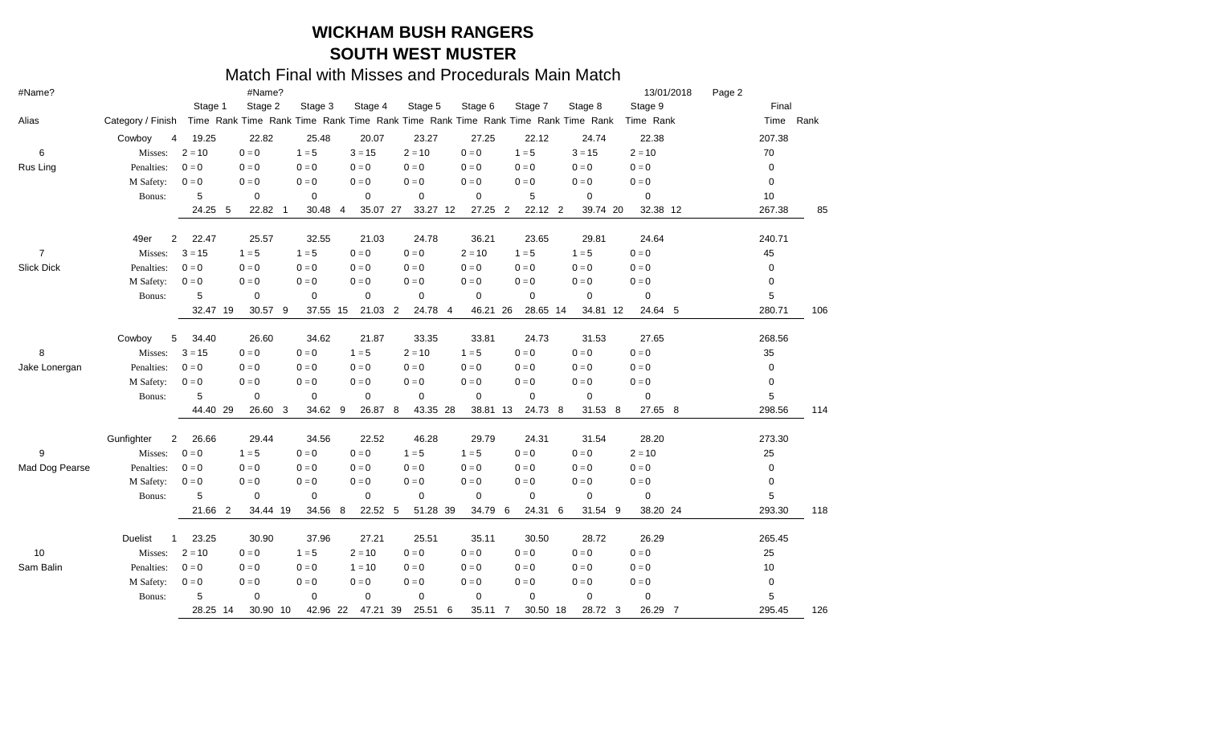| #Name?            |                                |                           | #Name?                     |             |                |                         |                                                                                 |                            |             | 13/01/2018   | Page 2      |       |
|-------------------|--------------------------------|---------------------------|----------------------------|-------------|----------------|-------------------------|---------------------------------------------------------------------------------|----------------------------|-------------|--------------|-------------|-------|
|                   |                                | Stage 1                   | Stage 2                    | Stage 3     | Stage 4        | Stage 5                 | Stage 6                                                                         | Stage 7                    | Stage 8     | Stage 9      |             | Final |
| Alias             | Category / Finish              |                           |                            |             |                |                         | Time Rank Time Rank Time Rank Time Rank Time Rank Time Rank Time Rank Time Rank |                            |             | Time Rank    | Time        | Rank  |
|                   | Cowboy<br>4                    | 19.25                     | 22.82                      | 25.48       | 20.07          | 23.27                   | 27.25                                                                           | 22.12                      | 24.74       | 22.38        | 207.38      |       |
| 6                 | Misses:                        | $2 = 10$                  | $0 = 0$                    | $1 = 5$     | $3 = 15$       | $2 = 10$                | $0 = 0$                                                                         | $1 = 5$                    | $3 = 15$    | $2 = 10$     | 70          |       |
| Rus Ling          | Penalties:                     | $0 = 0$                   | $0 = 0$                    | $0 = 0$     | $0 = 0$        | $0 = 0$                 | $0 = 0$                                                                         | $0 = 0$                    | $0 = 0$     | $0 = 0$      | 0           |       |
|                   | M Safety:                      | $0 = 0$                   | $0 = 0$                    | $0 = 0$     | $0 = 0$        | $0 = 0$                 | $0 = 0$                                                                         | $0 = 0$                    | $0 = 0$     | $0 = 0$      | 0           |       |
|                   | Bonus:                         | 5                         | $\mathbf 0$                | 0           | $\mathbf 0$    | 0                       | 0                                                                               | 5                          | 0           | $\mathbf 0$  | 10          |       |
|                   |                                | 24.25                     | 22.82 1<br>-5              | 30.48       | 35.07 27<br>-4 | 33.27 12                | 27.25                                                                           | 22.12 2<br>$\overline{2}$  | 39.74 20    | 32.38 12     | 267.38      | 85    |
|                   | 49er<br>2                      | 22.47                     | 25.57                      | 32.55       | 21.03          | 24.78                   | 36.21                                                                           | 23.65                      | 29.81       | 24.64        | 240.71      |       |
| $\overline{7}$    | Misses:                        | $3 = 15$                  | $1 = 5$                    | $1 = 5$     | $0 = 0$        | $0 = 0$                 | $2 = 10$                                                                        | $1 = 5$                    | $1 = 5$     | $0 = 0$      | 45          |       |
| <b>Slick Dick</b> | Penalties:                     | $0 = 0$                   | $0 = 0$                    | $0 = 0$     | $0 = 0$        | $0 = 0$                 | $0 = 0$                                                                         | $0 = 0$                    | $0 = 0$     | $0 = 0$      | 0           |       |
|                   | M Safety:                      | $0 = 0$                   | $0 = 0$                    | $0 = 0$     | $0 = 0$        | $0 = 0$                 | $0 = 0$                                                                         | $0 = 0$                    | $0 = 0$     | $0 = 0$      | 0           |       |
|                   | Bonus:                         | 5                         | $\mathbf 0$                | $\mathbf 0$ | $\mathbf 0$    | 0                       | $\mathbf 0$                                                                     | 0                          | 0           | 0            | $\mathbf 5$ |       |
|                   |                                | 32.47 19                  | 30.57 9                    | 37.55 15    | 21.03          | $\overline{2}$<br>24.78 | 46.21<br>-4                                                                     | 28.65 14<br>26             | 34.81 12    | 24.64 5      | 280.71      | 106   |
|                   | Cowboy<br>5                    | 34.40                     | 26.60                      | 34.62       | 21.87          | 33.35                   | 33.81                                                                           | 24.73                      | 31.53       | 27.65        | 268.56      |       |
| 8                 | Misses:                        | $3 = 15$                  | $0 = 0$                    | $0 = 0$     | $1 = 5$        | $2 = 10$                | $1 = 5$                                                                         | $0 = 0$                    | $0 = 0$     | $0 = 0$      | 35          |       |
| Jake Lonergan     | Penalties:                     | $0 = 0$                   | $0 = 0$                    | $0 = 0$     | $0 = 0$        | $0 = 0$                 | $0 = 0$                                                                         | $0 = 0$                    | $0 = 0$     | $0 = 0$      | 0           |       |
|                   | M Safety:                      | $0 = 0$                   | $0 = 0$                    | $0 = 0$     | $0 = 0$        | $0 = 0$                 | $0 = 0$                                                                         | $0 = 0$                    | $0 = 0$     | $0 = 0$      | 0           |       |
|                   | Bonus:                         | 5                         | $\mathbf 0$                | 0           | 0              | $\mathbf 0$             | 0                                                                               | 0                          | $\mathbf 0$ | $\mathbf 0$  | 5           |       |
|                   |                                | 44.40 29                  | 26.60 3                    | 34.62 9     | 26.87          | 43.35 28<br>8           | 38.81 13                                                                        | 24.73 8                    | 31.53 8     | 27.65 8      | 298.56      | 114   |
|                   | Gunfighter<br>$\mathbf{2}$     | 26.66                     | 29.44                      | 34.56       | 22.52          | 46.28                   | 29.79                                                                           | 24.31                      | 31.54       | 28.20        | 273.30      |       |
| 9                 | Misses:                        | $0 = 0$                   | $1 = 5$                    | $0 = 0$     | $0 = 0$        | $1 = 5$                 | $1 = 5$                                                                         | $0 = 0$                    | $0 = 0$     | $2 = 10$     | 25          |       |
| Mad Dog Pearse    | Penalties:                     | $0 = 0$                   | $0 = 0$                    | $0 = 0$     | $0 = 0$        | $0 = 0$                 | $0 = 0$                                                                         | $0 = 0$                    | $0 = 0$     | $0 = 0$      | 0           |       |
|                   | M Safety:                      | $0 = 0$                   | $0 = 0$                    | $0 = 0$     | $0 = 0$        | $0 = 0$                 | $0 = 0$                                                                         | $0 = 0$                    | $0 = 0$     | $0 = 0$      | 0           |       |
|                   | Bonus:                         | 5                         | $\mathbf 0$                | $\mathbf 0$ | $\mathbf 0$    | $\mathbf 0$             | $\mathbf 0$                                                                     | 0                          | 0           | $\mathbf 0$  | $\mathbf 5$ |       |
|                   |                                | 21.66                     | $\overline{2}$<br>34.44 19 | 34.56       | 22.52<br>-8    | 51.28 39<br>- 5         | 34.79                                                                           | 24.31 6<br>6               | 31.54 9     | 38.20 24     | 293.30      | 118   |
|                   | <b>Duelist</b><br>$\mathbf{1}$ | 23.25                     | 30.90                      | 37.96       | 27.21          | 25.51                   | 35.11                                                                           | 30.50                      | 28.72       | 26.29        | 265.45      |       |
| 10                | Misses:                        | $2 = 10$                  | $0 = 0$                    | $1 = 5$     | $2 = 10$       | $0 = 0$                 | $0 = 0$                                                                         | $0 = 0$                    | $0 = 0$     | $0 = 0$      | 25          |       |
| Sam Balin         | Penalties:                     | $0 = 0$                   | $0 = 0$                    | $0 = 0$     | $1 = 10$       | $0 = 0$                 | $0 = 0$                                                                         | $0 = 0$                    | $0 = 0$     | $0=0$        | 10          |       |
|                   | M Safety:                      | $\mathbf{0} = \mathbf{0}$ | $0 = 0$                    | $0 = 0$     | $0 = 0$        | $0 = 0$                 | $0 = 0$                                                                         | $0 = 0$                    | $0 = 0$     | $0 = 0$      | 0           |       |
|                   | Bonus:                         | 5                         | $\mathbf 0$                | 0           | $\mathbf 0$    | 0                       | $\mathbf 0$                                                                     | 0                          | 0           | $\mathbf 0$  | 5           |       |
|                   |                                |                           |                            |             |                |                         |                                                                                 |                            |             |              |             |       |
|                   |                                | 28.25 14                  | 30.90 10                   | 42.96 22    | 47.21          | 39<br>25.51             | 6<br>35.11                                                                      | $\overline{7}$<br>30.50 18 | 28.72 3     | 26.29<br>- 7 | 295.45      | 126   |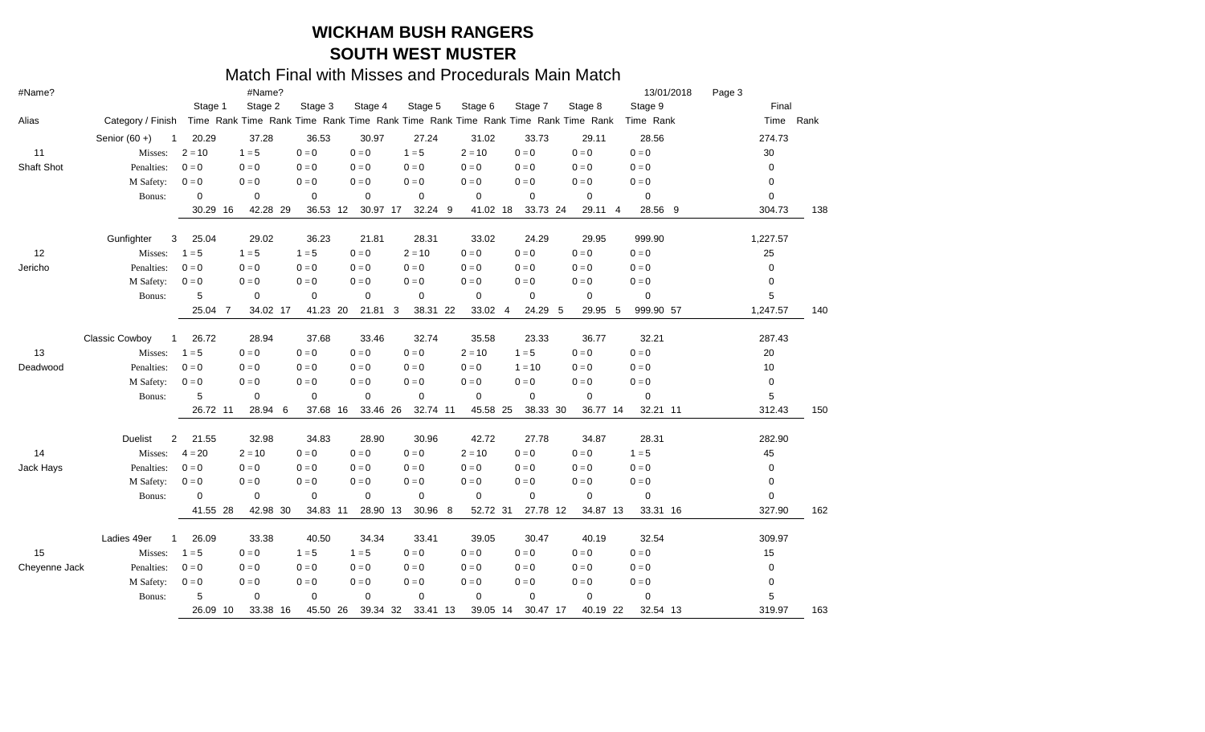| #Name?        |                                       |                         | #Name?         |             |          |             |             |               |                                                                                 | 13/01/2018   | Page 3      |     |
|---------------|---------------------------------------|-------------------------|----------------|-------------|----------|-------------|-------------|---------------|---------------------------------------------------------------------------------|--------------|-------------|-----|
|               |                                       | Stage 1                 | Stage 2        | Stage 3     | Stage 4  | Stage 5     | Stage 6     | Stage 7       | Stage 8                                                                         | Stage 9      | Final       |     |
| Alias         | Category / Finish                     |                         |                |             |          |             |             |               | Time Rank Time Rank Time Rank Time Rank Time Rank Time Rank Time Rank Time Rank | Time Rank    | Time Rank   |     |
|               | Senior $(60 +)$<br>-1                 | 20.29                   | 37.28          | 36.53       | 30.97    | 27.24       | 31.02       | 33.73         | 29.11                                                                           | 28.56        | 274.73      |     |
| 11            | Misses:                               | $2 = 10$                | $1 = 5$        | $0 = 0$     | $0 = 0$  | $1 = 5$     | $2 = 10$    | $0 = 0$       | $0 = 0$                                                                         | $0 = 0$      | 30          |     |
| Shaft Shot    | Penalties:                            | $0 = 0$                 | $0 = 0$        | $0 = 0$     | $0 = 0$  | $0 = 0$     | $0 = 0$     | $0 = 0$       | $0 = 0$                                                                         | $0 = 0$      | 0           |     |
|               | M Safety:                             | $0 = 0$                 | $0 = 0$        | $0 = 0$     | $0 = 0$  | $0 = 0$     | $0 = 0$     | $0 = 0$       | $0 = 0$                                                                         | $0 = 0$      | 0           |     |
|               | Bonus:                                | 0                       | $\mathbf 0$    | $\mathbf 0$ | 0        | 0           | $\mathbf 0$ | $\mathbf 0$   | $\mathbf 0$                                                                     | $\mathbf 0$  | 0           |     |
|               |                                       | 30.29                   | 42.28 29<br>16 | 36.53 12    | 30.97 17 | 32.24 9     | 41.02 18    | 33.73 24      | 29.11 4                                                                         | 28.56<br>- 9 | 304.73      | 138 |
|               | Gunfighter<br>3                       | 25.04                   | 29.02          | 36.23       | 21.81    | 28.31       | 33.02       | 24.29         | 29.95                                                                           | 999.90       | 1,227.57    |     |
| 12            | Misses:                               | $1 = 5$                 | $1 = 5$        | $1 = 5$     | $0 = 0$  | $2 = 10$    | $0 = 0$     | $0 = 0$       | $0 = 0$                                                                         | $0 = 0$      | 25          |     |
| Jericho       | Penalties:                            | $0 = 0$                 | $0 = 0$        | $0 = 0$     | $0 = 0$  | $0 = 0$     | $0 = 0$     | $0 = 0$       | $0 = 0$                                                                         | $0 = 0$      | 0           |     |
|               | M Safety:                             | $0 = 0$                 | $0 = 0$        | $0 = 0$     | $0 = 0$  | $0 = 0$     | $0 = 0$     | $0 = 0$       | $0 = 0$                                                                         | $0 = 0$      | 0           |     |
|               | Bonus:                                | 5                       | $\mathbf 0$    | $\mathbf 0$ | 0        | $\mathbf 0$ | $\pmb{0}$   | $\mathbf 0$   | $\mathbf 0$                                                                     | 0            | 5           |     |
|               |                                       | 25.04                   | 34.02 17<br>-7 | 41.23 20    | 21.81 3  | 38.31 22    | 33.02       | 24.29 5<br>-4 | 29.95 5                                                                         | 999.90 57    | 1,247.57    | 140 |
|               | <b>Classic Cowboy</b><br>$\mathbf{1}$ | 26.72                   | 28.94          | 37.68       | 33.46    | 32.74       | 35.58       | 23.33         | 36.77                                                                           | 32.21        | 287.43      |     |
| 13            | Misses:                               | $1 = 5$                 | $0 = 0$        | $0 = 0$     | $0 = 0$  | $0 = 0$     | $2 = 10$    | $1 = 5$       | $0 = 0$                                                                         | $0 = 0$      | 20          |     |
| Deadwood      | Penalties:                            | $0 = 0$                 | $0 = 0$        | $0 = 0$     | $0 = 0$  | $0 = 0$     | $0 = 0$     | $1 = 10$      | $0 = 0$                                                                         | $0 = 0$      | 10          |     |
|               | M Safety:                             | $0 = 0$                 | $0 = 0$        | $0 = 0$     | $0 = 0$  | $0 = 0$     | $0 = 0$     | $0 = 0$       | $0 = 0$                                                                         | $0 = 0$      | 0           |     |
|               | Bonus:                                | 5                       | $\mathbf 0$    | $\mathbf 0$ | 0        | $\mathbf 0$ | $\mathbf 0$ | $\mathbf 0$   | $\mathbf 0$                                                                     | $\mathbf 0$  | $\mathbf 5$ |     |
|               |                                       | 26.72 11                | 28.94 6        | 37.68 16    | 33.46 26 | 32.74 11    | 45.58 25    | 38.33 30      | 36.77 14                                                                        | 32.21 11     | 312.43      | 150 |
|               | <b>Duelist</b><br>2                   | 21.55                   | 32.98          | 34.83       | 28.90    | 30.96       | 42.72       | 27.78         | 34.87                                                                           | 28.31        | 282.90      |     |
| 14            | Misses:                               | $4 = 20$                | $2 = 10$       | $0 = 0$     | $0 = 0$  | $0 = 0$     | $2 = 10$    | $0 = 0$       | $0 = 0$                                                                         | $1 = 5$      | 45          |     |
| Jack Hays     | Penalties:                            | $0 = 0$                 | $0 = 0$        | $0 = 0$     | $0 = 0$  | $0 = 0$     | $0 = 0$     | $0 = 0$       | $0 = 0$                                                                         | $0 = 0$      | 0           |     |
|               | M Safety:                             | $\mathbf{0}=\mathbf{0}$ | $0 = 0$        | $0 = 0$     | $0 = 0$  | $0 = 0$     | $0 = 0$     | $0 = 0$       | $0 = 0$                                                                         | $0 = 0$      | 0           |     |
|               | Bonus:                                | 0                       | $\mathbf 0$    | $\mathbf 0$ | 0        | $\mathbf 0$ | $\mathbf 0$ | $\mathbf 0$   | 0                                                                               | 0            | 0           |     |
|               |                                       | 41.55                   | 42.98 30<br>28 | 34.83 11    | 28.90 13 | 30.96 8     | 52.72 31    | 27.78 12      | 34.87 13                                                                        | 33.31 16     | 327.90      | 162 |
|               | Ladies 49er<br>1                      | 26.09                   | 33.38          | 40.50       | 34.34    | 33.41       | 39.05       | 30.47         | 40.19                                                                           | 32.54        | 309.97      |     |
| 15            | Misses:                               | $1 = 5$                 | $0 = 0$        | $1 = 5$     | $1 = 5$  | $0 = 0$     | $0 = 0$     | $0 = 0$       | $0 = 0$                                                                         | $0 = 0$      | 15          |     |
| Cheyenne Jack | Penalties:                            | $0 = 0$                 | $0 = 0$        | $0 = 0$     | $0 = 0$  | $0 = 0$     | $0 = 0$     | $0 = 0$       | $0 = 0$                                                                         | $0 = 0$      | 0           |     |
|               | M Safety:                             | $0 = 0$                 | $0 = 0$        | $0 = 0$     | $0 = 0$  | $0 = 0$     | $0 = 0$     | $0 = 0$       | $0 = 0$                                                                         | $0 = 0$      | 0           |     |
|               | Bonus:                                | 5                       | $\mathbf 0$    | $\mathbf 0$ | 0        | $\mathbf 0$ | $\mathbf 0$ | $\mathbf 0$   | $\mathbf 0$                                                                     | 0            | 5           |     |
|               |                                       | 26.09 10                | 33.38 16       | 45.50 26    | 39.34 32 | 33.41 13    | 39.05 14    | 30.47 17      | 40.19 22                                                                        | 32.54 13     | 319.97      | 163 |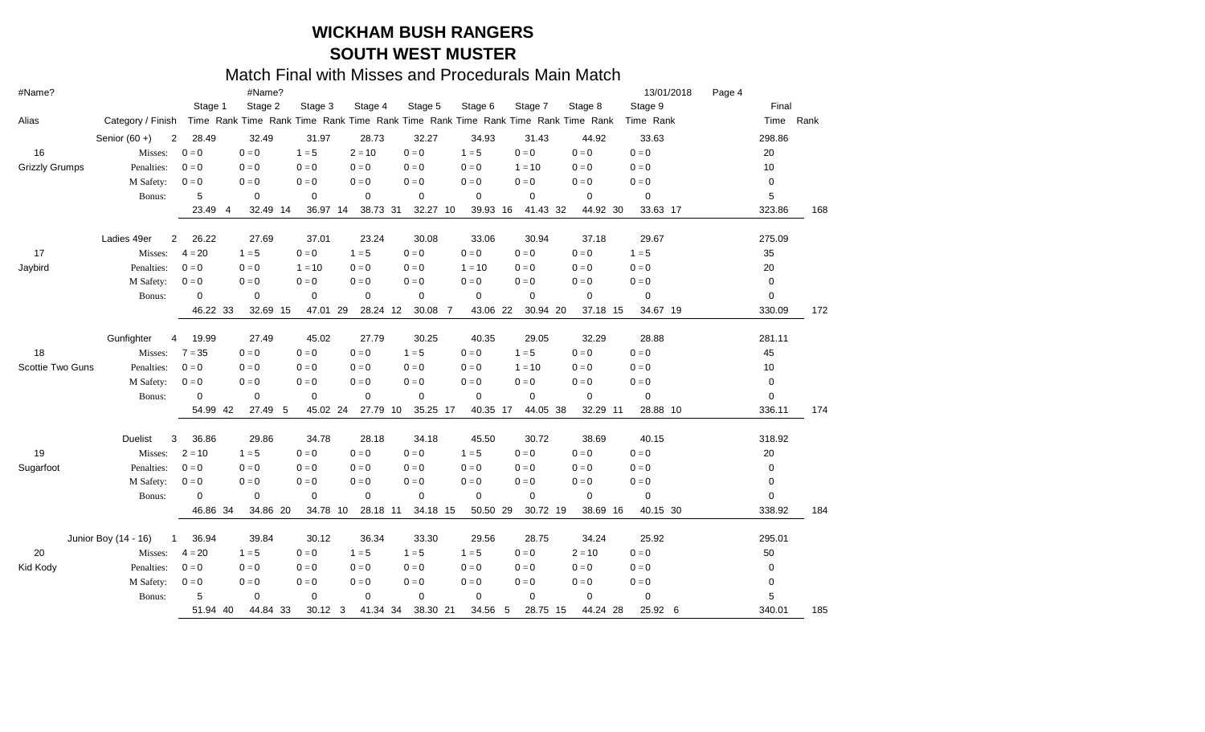| #Name?                |                      |                         | #Name?          |                 |               |                |             |                                                                                 |             | 13/01/2018              | Page 4 |           |     |
|-----------------------|----------------------|-------------------------|-----------------|-----------------|---------------|----------------|-------------|---------------------------------------------------------------------------------|-------------|-------------------------|--------|-----------|-----|
|                       |                      | Stage 1                 | Stage 2         | Stage 3         | Stage 4       | Stage 5        | Stage 6     | Stage 7                                                                         | Stage 8     | Stage 9                 |        | Final     |     |
| Alias                 | Category / Finish    |                         |                 |                 |               |                |             | Time Rank Time Rank Time Rank Time Rank Time Rank Time Rank Time Rank Time Rank |             | Time Rank               |        | Time Rank |     |
|                       | Senior $(60 +)$      | 28.49<br>$\overline{2}$ | 32.49           | 31.97           | 28.73         | 32.27          | 34.93       | 31.43                                                                           | 44.92       | 33.63                   |        | 298.86    |     |
| 16                    | Misses:              | $0 = 0$                 | $0 = 0$         | $1 = 5$         | $2 = 10$      | $0 = 0$        | $1 = 5$     | $0 = 0$                                                                         | $0 = 0$     | $0 = 0$                 |        | 20        |     |
| <b>Grizzly Grumps</b> | Penalties:           | $0 = 0$                 | $0 = 0$         | $0 = 0$         | $0 = 0$       | $0 = 0$        | $0 = 0$     | $1 = 10$                                                                        | $0 = 0$     | $0 = 0$                 |        | 10        |     |
|                       | M Safety:            | $0 = 0$                 | $0 = 0$         | $0 = 0$         | $0 = 0$       | $0 = 0$        | $0 = 0$     | $0 = 0$                                                                         | $0 = 0$     | $\mathbf{0}=\mathbf{0}$ |        | 0         |     |
|                       | Bonus:               | 5                       | $\mathbf 0$     | $\mathbf 0$     | 0             | $\mathbf 0$    | $\mathbf 0$ | $\mathbf 0$                                                                     | 0           | 0                       |        | 5         |     |
|                       |                      | 23.49                   | 32.49 14<br>-4  | 36.97 14        | 38.73 31      | 32.27 10       | 39.93 16    | 41.43 32                                                                        | 44.92 30    | 33.63 17                |        | 323.86    | 168 |
|                       | Ladies 49er          | 26.22<br>2              | 27.69           | 37.01           | 23.24         | 30.08          | 33.06       | 30.94                                                                           | 37.18       | 29.67                   |        | 275.09    |     |
| 17                    | Misses:              | $4 = 20$                | $1 = 5$         | $0 = 0$         | $1 = 5$       | $0 = 0$        | $0 = 0$     | $0 = 0$                                                                         | $0 = 0$     | $1 = 5$                 |        | 35        |     |
| Jaybird               | Penalties:           | $0 = 0$                 | $0 = 0$         | $1 = 10$        | $0 = 0$       | $0 = 0$        | $1 = 10$    | $0 = 0$                                                                         | $0 = 0$     | $0 = 0$                 |        | 20        |     |
|                       | M Safety:            | $0 = 0$                 | $0 = 0$         | $0 = 0$         | $0 = 0$       | $0 = 0$        | $0 = 0$     | $0 = 0$                                                                         | $0 = 0$     | $0 = 0$                 |        | 0         |     |
|                       | Bonus:               | $\Omega$                | $\mathbf 0$     | $\mathbf 0$     | 0             | $\mathbf 0$    | $\mathbf 0$ | $\mathbf 0$                                                                     | $\mathbf 0$ | $\mathbf 0$             |        | 0         |     |
|                       |                      | 46.22                   | -33<br>32.69 15 | 47.01 29        | 28.24 12      | 30.08 7        | 43.06       | 22<br>30.94 20                                                                  | 37.18 15    | 34.67 19                |        | 330.09    | 172 |
|                       | Gunfighter           | 19.99<br>4              | 27.49           | 45.02           | 27.79         | 30.25          | 40.35       | 29.05                                                                           | 32.29       | 28.88                   |        | 281.11    |     |
| 18                    | Misses:              | $7 = 35$                | $0 = 0$         | $0 = 0$         | $0 = 0$       | $1 = 5$        | $0 = 0$     | $1 = 5$                                                                         | $0 = 0$     | $0 = 0$                 |        | 45        |     |
| Scottie Two Guns      | Penalties:           | $0 = 0$                 | $0 = 0$         | $0 = 0$         | $0 = 0$       | $0 = 0$        | $0 = 0$     | $1 = 10$                                                                        | $0 = 0$     | $0 = 0$                 |        | 10        |     |
|                       | M Safety:            | $0 = 0$                 | $0 = 0$         | $0 = 0$         | $0 = 0$       | $0 = 0$        | $0 = 0$     | $0 = 0$                                                                         | $0 = 0$     | $0 = 0$                 |        | 0         |     |
|                       | Bonus:               | $\mathbf 0$             | $\mathbf 0$     | $\mathbf 0$     | 0             | 0              | 0           | $\mathbf 0$                                                                     | 0           | 0                       |        | 0         |     |
|                       |                      | 54.99                   | 27.49<br>42     | 45.02 24<br>- 5 | 27.79         | 35.25 17<br>10 | 40.35 17    | 44.05 38                                                                        | 32.29 11    | 28.88 10                |        | 336.11    | 174 |
|                       | <b>Duelist</b>       | 36.86<br>3              | 29.86           | 34.78           | 28.18         | 34.18          | 45.50       | 30.72                                                                           | 38.69       | 40.15                   |        | 318.92    |     |
| 19                    | Misses:              | $2 = 10$                | $1 = 5$         | $0 = 0$         | $0 = 0$       | $0 = 0$        | $1 = 5$     | $0 = 0$                                                                         | $0 = 0$     | $0 = 0$                 |        | 20        |     |
| Sugarfoot             | Penalties:           | $0 = 0$                 | $0 = 0$         | $0 = 0$         | $0 = 0$       | $0 = 0$        | $0 = 0$     | $0 = 0$                                                                         | $0 = 0$     | $0 = 0$                 |        | 0         |     |
|                       | M Safety:            | $0 = 0$                 | $0 = 0$         | $0 = 0$         | $0 = 0$       | $0 = 0$        | $0 = 0$     | $0 = 0$                                                                         | $0 = 0$     | $0 = 0$                 |        | 0         |     |
|                       | Bonus:               | $\Omega$                | $\mathbf 0$     | $\mathbf 0$     | $\mathbf 0$   | $\mathbf 0$    | $\mathbf 0$ | $\mathbf 0$                                                                     | $\mathbf 0$ | 0                       |        | 0         |     |
|                       |                      | 46.86                   | 34.86 20<br>-34 | 34.78 10        | 28.18 11      | 34.18 15       | 50.50 29    | 30.72 19                                                                        | 38.69 16    | 40.15 30                |        | 338.92    | 184 |
|                       | Junior Boy (14 - 16) | 36.94<br>$\mathbf{1}$   | 39.84           | 30.12           | 36.34         | 33.30          | 29.56       | 28.75                                                                           | 34.24       | 25.92                   |        | 295.01    |     |
| 20                    | Misses:              | $4 = 20$                | $1 = 5$         | $0 = 0$         | $1 = 5$       | $1 = 5$        | $1 = 5$     | $0 = 0$                                                                         | $2 = 10$    | $0 = 0$                 |        | 50        |     |
| Kid Kody              | Penalties:           | $0=0$                   | $0 = 0$         | $0 = 0$         | $0 = 0$       | $0 = 0$        | $0 = 0$     | $0 = 0$                                                                         | $0 = 0$     | $0 = 0$                 |        | 0         |     |
|                       | M Safety:            | $0 = 0$                 | $0=0$           | $0 = 0$         | $0 = 0$       | $0 = 0$        | $0 = 0$     | $0 = 0$                                                                         | $0 = 0$     | $\mathbf{0}=\mathbf{0}$ |        | 0         |     |
|                       | Bonus:               | 5                       | $\mathbf 0$     | $\mathbf 0$     | $\mathbf 0$   | 0              | $\pmb{0}$   | $\mathbf 0$                                                                     | 0           | 0                       |        | 5         |     |
|                       |                      | 51.94 40                | 44.84 33        | 30.12           | 3<br>41.34 34 | 38.30 21       | 34.56       | -5<br>28.75 15                                                                  | 44.24 28    | 25.92 6                 |        | 340.01    | 185 |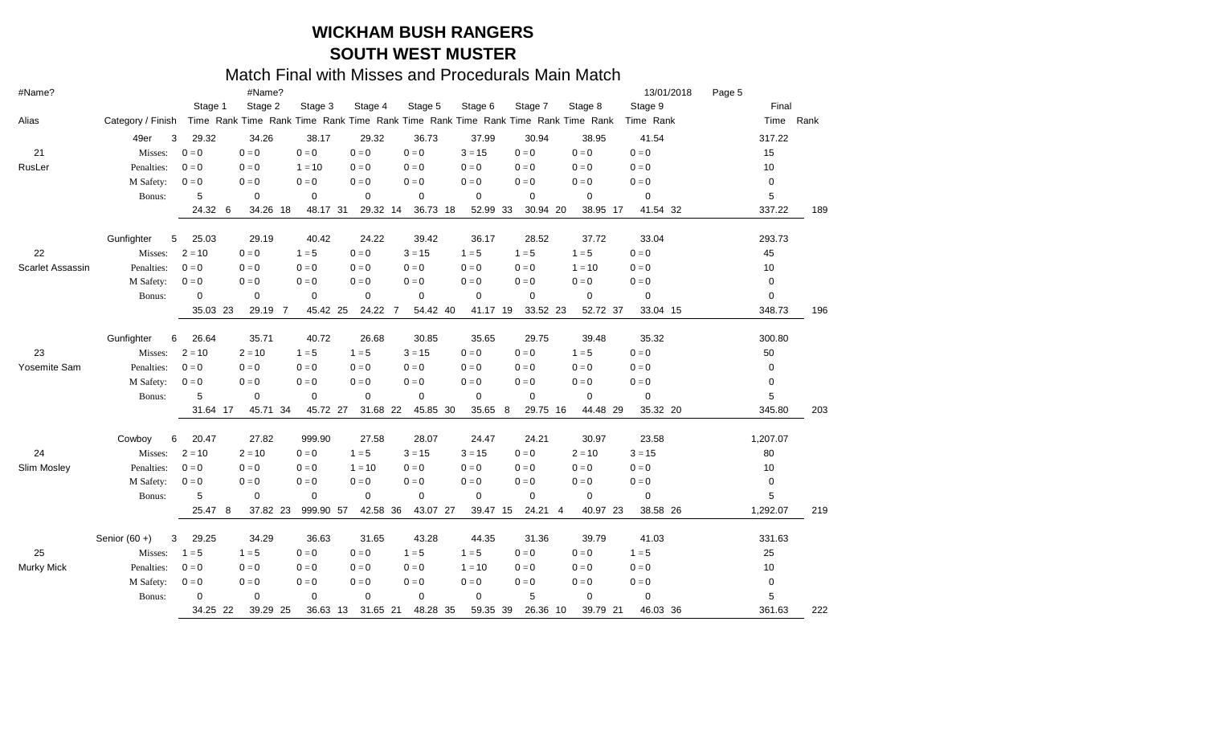| #Name?                  |                      |          | #Name?        |             |             |             |             |               |                                                                                 | 13/01/2018              | Page 5   |           |
|-------------------------|----------------------|----------|---------------|-------------|-------------|-------------|-------------|---------------|---------------------------------------------------------------------------------|-------------------------|----------|-----------|
|                         |                      | Stage 1  | Stage 2       | Stage 3     | Stage 4     | Stage 5     | Stage 6     | Stage 7       | Stage 8                                                                         | Stage 9                 | Final    |           |
| Alias                   | Category / Finish    |          |               |             |             |             |             |               | Time Rank Time Rank Time Rank Time Rank Time Rank Time Rank Time Rank Time Rank | Time Rank               |          | Time Rank |
|                         | 49er<br>3            | 29.32    | 34.26         | 38.17       | 29.32       | 36.73       | 37.99       | 30.94         | 38.95                                                                           | 41.54                   | 317.22   |           |
| 21                      | Misses:              | $0 = 0$  | $0 = 0$       | $0 = 0$     | $0 = 0$     | $0 = 0$     | $3 = 15$    | $0 = 0$       | $0 = 0$                                                                         | $0 = 0$                 | 15       |           |
| RusLer                  | Penalties:           | $0 = 0$  | $0 = 0$       | $1 = 10$    | $0 = 0$     | $0 = 0$     | $0 = 0$     | $0 = 0$       | $0 = 0$                                                                         | $0 = 0$                 | 10       |           |
|                         | M Safety:            | $0 = 0$  | $0 = 0$       | $0 = 0$     | $0 = 0$     | $0 = 0$     | $0 = 0$     | $0 = 0$       | $0 = 0$                                                                         | $0 = 0$                 | 0        |           |
|                         | Bonus:               | 5        | $\mathbf 0$   | $\mathbf 0$ | 0           | $\mathbf 0$ | $\mathbf 0$ | 0             | $\mathbf 0$                                                                     | $\mathbf 0$             | 5        |           |
|                         |                      | 24.32    | 6<br>34.26 18 | 48.17 31    | 29.32 14    | 36.73 18    | 52.99 33    | 30.94 20      | 38.95 17                                                                        | 41.54 32                | 337.22   | 189       |
|                         | Gunfighter<br>5      | 25.03    | 29.19         | 40.42       | 24.22       | 39.42       | 36.17       | 28.52         | 37.72                                                                           | 33.04                   | 293.73   |           |
| 22                      | Misses:              | $2 = 10$ | $0 = 0$       | $1 = 5$     | $0 = 0$     | $3 = 15$    | $1 = 5$     | $1 = 5$       | $1 = 5$                                                                         | $0 = 0$                 | 45       |           |
| <b>Scarlet Assassin</b> | Penalties:           | $0 = 0$  | $0 = 0$       | $0 = 0$     | $0 = 0$     | $0 = 0$     | $0 = 0$     | $0 = 0$       | $1 = 10$                                                                        | $0 = 0$                 | 10       |           |
|                         | M Safety:            | $0 = 0$  | $0 = 0$       | $0 = 0$     | $0 = 0$     | $0 = 0$     | $0 = 0$     | $0 = 0$       | $0 = 0$                                                                         | $\mathbf{0}=\mathbf{0}$ | 0        |           |
|                         | Bonus:               | 0        | $\mathbf 0$   | 0           | 0           | 0           | $\mathbf 0$ | 0             | 0                                                                               | 0                       | 0        |           |
|                         |                      | 35.03 23 | 29.19 7       | 45.42 25    | 24.22 7     | 54.42 40    | 41.17 19    | 33.52 23      | 52.72 37                                                                        | 33.04 15                | 348.73   | 196       |
|                         | Gunfighter<br>6      | 26.64    | 35.71         | 40.72       | 26.68       | 30.85       | 35.65       | 29.75         | 39.48                                                                           | 35.32                   | 300.80   |           |
| 23                      | Misses:              | $2 = 10$ | $2 = 10$      | $1 = 5$     | $1 = 5$     | $3 = 15$    | $0 = 0$     | $0 = 0$       | $1 = 5$                                                                         | $0 = 0$                 | 50       |           |
| Yosemite Sam            | Penalties:           | $0 = 0$  | $0 = 0$       | $0 = 0$     | $0 = 0$     | $0 = 0$     | $0 = 0$     | $0 = 0$       | $0 = 0$                                                                         | $0 = 0$                 | 0        |           |
|                         | M Safety:            | $0 = 0$  | $0 = 0$       | $0 = 0$     | $0 = 0$     | $0 = 0$     | $0 = 0$     | $0 = 0$       | $0 = 0$                                                                         | $0 = 0$                 | 0        |           |
|                         | Bonus:               | 5        | $\mathbf 0$   | $\mathbf 0$ | $\mathbf 0$ | $\mathbf 0$ | $\mathbf 0$ | 0             | $\mathbf 0$                                                                     | $\mathbf 0$             | 5        |           |
|                         |                      | 31.64 17 | 45.71 34      | 45.72 27    | 31.68 22    | 45.85 30    | 35.65       | 8<br>29.75 16 | 44.48 29                                                                        | 35.32 20                | 345.80   | 203       |
|                         | Cowboy<br>6          | 20.47    | 27.82         | 999.90      | 27.58       | 28.07       | 24.47       | 24.21         | 30.97                                                                           | 23.58                   | 1,207.07 |           |
| 24                      | Misses:              | $2 = 10$ | $2 = 10$      | $0 = 0$     | $1 = 5$     | $3 = 15$    | $3 = 15$    | $0 = 0$       | $2 = 10$                                                                        | $3 = 15$                | 80       |           |
| Slim Mosley             | Penalties:           | $0 = 0$  | $0 = 0$       | $0 = 0$     | $1 = 10$    | $0 = 0$     | $0 = 0$     | $0 = 0$       | $0 = 0$                                                                         | $0 = 0$                 | 10       |           |
|                         | M Safety:            | $0 = 0$  | $0 = 0$       | $0 = 0$     | $0 = 0$     | $0 = 0$     | $0 = 0$     | $0 = 0$       | $0 = 0$                                                                         | $0 = 0$                 | 0        |           |
|                         | Bonus:               | 5        | $\mathbf 0$   | $\mathbf 0$ | $\mathbf 0$ | $\mathbf 0$ | $\mathbf 0$ | $\mathbf 0$   | $\mathbf 0$                                                                     | 0                       | 5        |           |
|                         |                      | 25.47    | 37.82 23<br>8 | 999.90 57   | 42.58 36    | 43.07 27    | 39.47 15    | 24.21 4       | 40.97 23                                                                        | 38.58 26                | 1,292.07 | 219       |
|                         | Senior $(60 +)$<br>3 | 29.25    | 34.29         | 36.63       | 31.65       | 43.28       | 44.35       | 31.36         | 39.79                                                                           | 41.03                   | 331.63   |           |
| 25                      | Misses:              | $1 = 5$  | $1 = 5$       | $0 = 0$     | $0 = 0$     | $1 = 5$     | $1 = 5$     | $0 = 0$       | $0 = 0$                                                                         | $1 = 5$                 | 25       |           |
| <b>Murky Mick</b>       | Penalties:           | $0 = 0$  | $0 = 0$       | $0 = 0$     | $0 = 0$     | $0 = 0$     | $1 = 10$    | $0 = 0$       | $0 = 0$                                                                         | $0 = 0$                 | 10       |           |
|                         | M Safety:            | $0 = 0$  | $0 = 0$       | $0 = 0$     | $0 = 0$     | $0 = 0$     | $0 = 0$     | $0 = 0$       | $0 = 0$                                                                         | $0 = 0$                 | 0        |           |
|                         | Bonus:               | 0        | 0             | 0           | $\mathbf 0$ | 0           | $\pmb{0}$   | 5             | 0                                                                               | 0                       | 5        |           |
|                         |                      | 34.25 22 | 39.29 25      | 36.63 13    | 31.65 21    | 48.28 35    | 59.35 39    | 26.36 10      | 39.79 21                                                                        | 46.03 36                | 361.63   | 222       |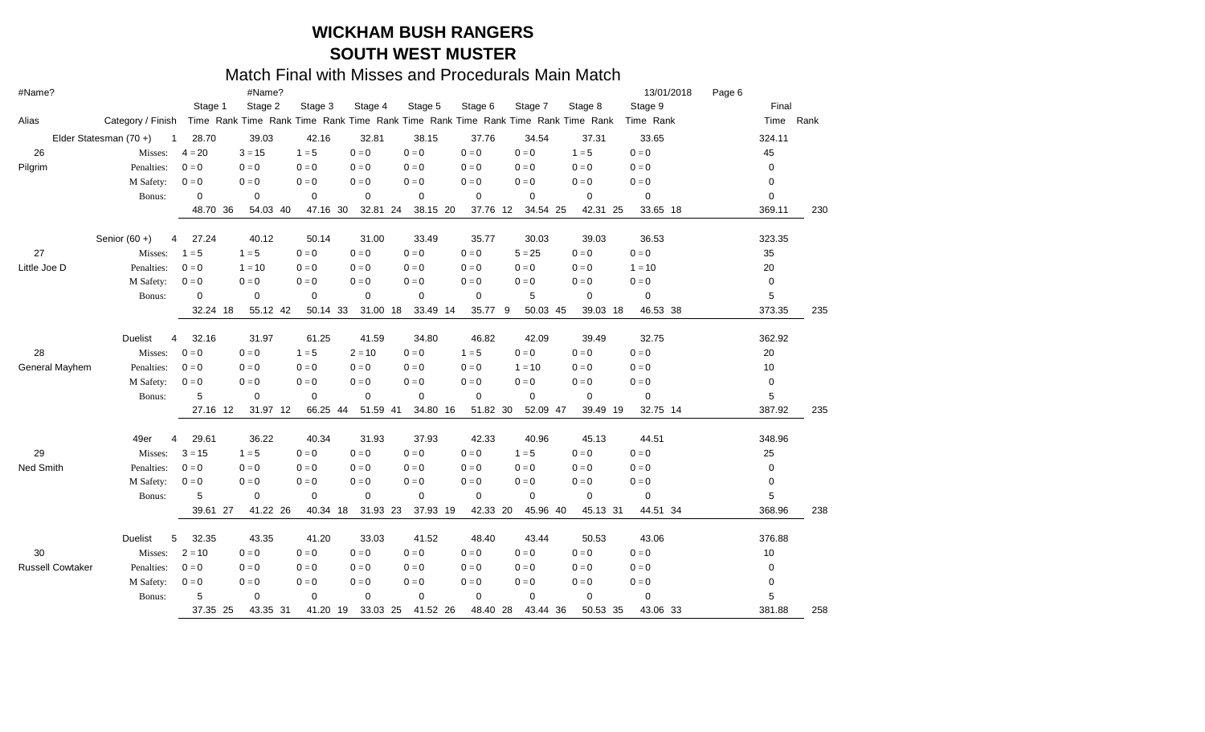| #Name?                  |                       |             | #Name?                                                                          |             |             |             |             |                |             | 13/01/2018  | Page 6 |        |           |
|-------------------------|-----------------------|-------------|---------------------------------------------------------------------------------|-------------|-------------|-------------|-------------|----------------|-------------|-------------|--------|--------|-----------|
|                         |                       | Stage 1     | Stage 2                                                                         | Stage 3     | Stage 4     | Stage 5     | Stage 6     | Stage 7        | Stage 8     | Stage 9     |        | Final  |           |
| Alias                   | Category / Finish     |             | Time Rank Time Rank Time Rank Time Rank Time Rank Time Rank Time Rank Time Rank |             |             |             |             |                |             | Time Rank   |        |        | Time Rank |
|                         | Elder Statesman (70+) | 28.70<br>-1 | 39.03                                                                           | 42.16       | 32.81       | 38.15       | 37.76       | 34.54          | 37.31       | 33.65       |        | 324.11 |           |
| 26                      | Misses:               | $4 = 20$    | $3 = 15$                                                                        | $1 = 5$     | $0 = 0$     | $0 = 0$     | $0 = 0$     | $0 = 0$        | $1 = 5$     | $0 = 0$     |        | 45     |           |
| Pilgrim                 | Penalties:            | $0 = 0$     | $0 = 0$                                                                         | $0 = 0$     | $0 = 0$     | $0 = 0$     | $0 = 0$     | $0 = 0$        | $0 = 0$     | $0 = 0$     |        | 0      |           |
|                         | M Safety:             | $0 = 0$     | $0 = 0$                                                                         | $0 = 0$     | $0 = 0$     | $0 = 0$     | $0 = 0$     | $0 = 0$        | $0 = 0$     | $0 = 0$     |        | 0      |           |
|                         | Bonus:                | 0           | $\mathbf 0$                                                                     | $\mathbf 0$ | $\mathbf 0$ | $\mathbf 0$ | $\mathbf 0$ | 0              | $\mathbf 0$ | 0           |        | 0      |           |
|                         |                       | 48.70       | 36<br>54.03 40                                                                  | 47.16 30    | 32.81 24    | 38.15 20    | 37.76 12    | 34.54 25       | 42.31 25    | 33.65 18    |        | 369.11 | 230       |
|                         | Senior $(60 +)$       | 27.24<br>4  | 40.12                                                                           | 50.14       | 31.00       | 33.49       | 35.77       | 30.03          | 39.03       | 36.53       |        | 323.35 |           |
| 27                      | Misses:               | $1 = 5$     | $1 = 5$                                                                         | $0 = 0$     | $0 = 0$     | $0 = 0$     | $0 = 0$     | $5 = 25$       | $0 = 0$     | $0 = 0$     |        | 35     |           |
| Little Joe D            | Penalties:            | $0 = 0$     | $1 = 10$                                                                        | $0 = 0$     | $0 = 0$     | $0 = 0$     | $0 = 0$     | $0 = 0$        | $0 = 0$     | $1 = 10$    |        | 20     |           |
|                         | M Safety:             | $0 = 0$     | $0 = 0$                                                                         | $0 = 0$     | $0 = 0$     | $0 = 0$     | $0 = 0$     | $0 = 0$        | $0 = 0$     | $0 = 0$     |        | 0      |           |
|                         | Bonus:                | 0           | 0                                                                               | $\mathbf 0$ | $\mathbf 0$ | $\mathbf 0$ | $\mathbf 0$ | 5              | 0           | 0           |        | 5      |           |
|                         |                       | 32.24 18    | 55.12 42                                                                        | 50.14 33    | 31.00 18    | 33.49 14    | 35.77       | 9<br>50.03 45  | 39.03 18    | 46.53 38    |        | 373.35 | 235       |
|                         | Duelist               | 32.16<br>4  | 31.97                                                                           | 61.25       | 41.59       | 34.80       | 46.82       | 42.09          | 39.49       | 32.75       |        | 362.92 |           |
| 28                      | Misses:               | $0 = 0$     | $0 = 0$                                                                         | $1 = 5$     | $2 = 10$    | $0 = 0$     | $1 = 5$     | $0 = 0$        | $0 = 0$     | $0 = 0$     |        | 20     |           |
| General Mayhem          | Penalties:            | $0 = 0$     | $0 = 0$                                                                         | $0 = 0$     | $0 = 0$     | $0 = 0$     | $0 = 0$     | $1 = 10$       | $0 = 0$     | $0 = 0$     |        | 10     |           |
|                         | M Safety:             | $0 = 0$     | $0 = 0$                                                                         | $0 = 0$     | $0 = 0$     | $0 = 0$     | $0 = 0$     | $0 = 0$        | $0 = 0$     | $0 = 0$     |        | 0      |           |
|                         | Bonus:                | 5           | $\mathbf 0$                                                                     | $\mathbf 0$ | 0           | $\mathbf 0$ | $\mathbf 0$ | $\mathbf 0$    | 0           | $\mathbf 0$ |        | 5      |           |
|                         |                       | 27.16       | 31.97 12<br>-12                                                                 | 66.25 44    | 51.59 41    | 34.80 16    | 51.82 30    | 52.09 47       | 39.49 19    | 32.75 14    |        | 387.92 | 235       |
|                         | 49er                  | 29.61<br>4  | 36.22                                                                           | 40.34       | 31.93       | 37.93       | 42.33       | 40.96          | 45.13       | 44.51       |        | 348.96 |           |
| 29                      | Misses:               | $3 = 15$    | $1 = 5$                                                                         | $0 = 0$     | $0 = 0$     | $0 = 0$     | $0 = 0$     | $1 = 5$        | $0 = 0$     | $0 = 0$     |        | 25     |           |
| Ned Smith               | Penalties:            | $0 = 0$     | $0 = 0$                                                                         | $0 = 0$     | $0 = 0$     | $0 = 0$     | $0 = 0$     | $0 = 0$        | $0=0$       | $0 = 0$     |        | 0      |           |
|                         | M Safety:             | $0 = 0$     | $0 = 0$                                                                         | $0 = 0$     | $0 = 0$     | $0 = 0$     | $0=0$       | $0 = 0$        | $0 = 0$     | $0 = 0$     |        | 0      |           |
|                         | Bonus:                | 5           | 0                                                                               | $\mathbf 0$ | 0           | 0           | $\mathbf 0$ | $\mathbf 0$    | $\mathbf 0$ | $\mathbf 0$ |        | 5      |           |
|                         |                       | 39.61       | 41.22 26<br>27                                                                  | 40.34 18    | 31.93 23    | 37.93 19    | 42.33       | 45.96 40<br>20 | 45.13 31    | 44.51 34    |        | 368.96 | 238       |
|                         | <b>Duelist</b>        | 5<br>32.35  | 43.35                                                                           | 41.20       | 33.03       | 41.52       | 48.40       | 43.44          | 50.53       | 43.06       |        | 376.88 |           |
| 30                      | Misses:               | $2 = 10$    | $0 = 0$                                                                         | $0 = 0$     | $0 = 0$     | $0 = 0$     | $0 = 0$     | $0 = 0$        | $0 = 0$     | $0 = 0$     |        | 10     |           |
| <b>Russell Cowtaker</b> | Penalties:            | $0 = 0$     | $0 = 0$                                                                         | $0 = 0$     | $0 = 0$     | $0 = 0$     | $0 = 0$     | $0 = 0$        | $0 = 0$     | $0 = 0$     |        | 0      |           |
|                         | M Safety:             | $0=0$       | $0 = 0$                                                                         | $0 = 0$     | $0 = 0$     | $0 = 0$     | $0 = 0$     | $0 = 0$        | $0 = 0$     | $0 = 0$     |        | 0      |           |
|                         | Bonus:                | 5           | $\mathbf 0$                                                                     | $\mathbf 0$ | $\mathbf 0$ | 0           | $\mathbf 0$ | $\mathbf 0$    | $\mathbf 0$ | 0           |        | 5      |           |
|                         |                       | 37.35 25    | 43.35 31                                                                        | 41.20 19    | 33.03 25    | 41.52 26    | 48.40       | 28<br>43.44 36 | 50.53 35    | 43.06 33    |        | 381.88 | 258       |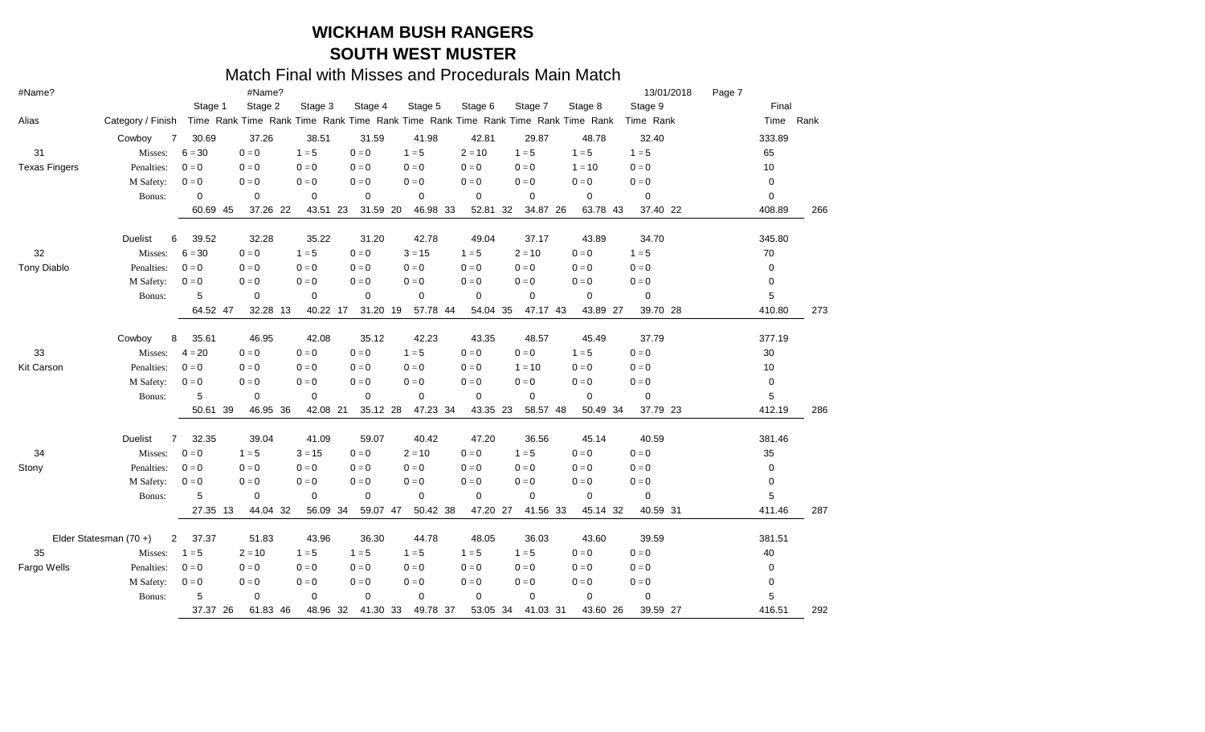| #Name?               |                       |                         | #Name?         |             |          |             |             |                |                                                                                 | 13/01/2018              | Page 7 |             |     |
|----------------------|-----------------------|-------------------------|----------------|-------------|----------|-------------|-------------|----------------|---------------------------------------------------------------------------------|-------------------------|--------|-------------|-----|
|                      |                       | Stage 1                 | Stage 2        | Stage 3     | Stage 4  | Stage 5     | Stage 6     | Stage 7        | Stage 8                                                                         | Stage 9                 |        | Final       |     |
| Alias                | Category / Finish     |                         |                |             |          |             |             |                | Time Rank Time Rank Time Rank Time Rank Time Rank Time Rank Time Rank Time Rank | Time Rank               |        | Time Rank   |     |
|                      | Cowboy                | 30.69<br>7              | 37.26          | 38.51       | 31.59    | 41.98       | 42.81       | 29.87          | 48.78                                                                           | 32.40                   |        | 333.89      |     |
| 31                   | Misses:               | $6 = 30$                | $0 = 0$        | $1 = 5$     | $0 = 0$  | $1 = 5$     | $2 = 10$    | $1 = 5$        | $1 = 5$                                                                         | $1 = 5$                 |        | 65          |     |
| <b>Texas Fingers</b> | Penalties:            | $0 = 0$                 | $0 = 0$        | $0 = 0$     | $0 = 0$  | $0 = 0$     | $0 = 0$     | $0 = 0$        | $1 = 10$                                                                        | $0 = 0$                 |        | 10          |     |
|                      | M Safety:             | $0 = 0$                 | $0 = 0$        | $0 = 0$     | $0 = 0$  | $0 = 0$     | $0 = 0$     | $0 = 0$        | $0 = 0$                                                                         | $\mathbf{0}=\mathbf{0}$ |        | 0           |     |
|                      | Bonus:                | 0                       | 0              | $\mathbf 0$ | 0        | $\mathbf 0$ | $\mathbf 0$ | $\mathbf 0$    | 0                                                                               | $\mathbf 0$             |        | 0           |     |
|                      |                       | 60.69                   | 37.26 22<br>45 | 43.51 23    | 31.59 20 | 46.98 33    | 52.81       | 32<br>34.87 26 | 63.78 43                                                                        | 37.40 22                |        | 408.89      | 266 |
|                      | <b>Duelist</b>        | 6<br>39.52              | 32.28          | 35.22       | 31.20    | 42.78       | 49.04       | 37.17          | 43.89                                                                           | 34.70                   |        | 345.80      |     |
| 32                   | Misses:               | $6 = 30$                | $0 = 0$        | $1 = 5$     | $0 = 0$  | $3 = 15$    | $1 = 5$     | $2 = 10$       | $0 = 0$                                                                         | $1 = 5$                 |        | 70          |     |
| <b>Tony Diablo</b>   | Penalties:            | $0 = 0$                 | $0 = 0$        | $0 = 0$     | $0 = 0$  | $0 = 0$     | $0 = 0$     | $0 = 0$        | $0 = 0$                                                                         | $0 = 0$                 |        | $\mathbf 0$ |     |
|                      | M Safety:             | $0 = 0$                 | $0 = 0$        | $0 = 0$     | $0 = 0$  | $0 = 0$     | $0 = 0$     | $0 = 0$        | $0 = 0$                                                                         | $0 = 0$                 |        | 0           |     |
|                      | Bonus:                | 5                       | $\mathbf 0$    | $\mathbf 0$ | 0        | $\mathbf 0$ | $\mathbf 0$ | $\mathbf 0$    | $\mathbf 0$                                                                     | 0                       |        | 5           |     |
|                      |                       | 64.52 47                | 32.28 13       | 40.22 17    | 31.20 19 | 57.78 44    | 54.04 35    | 47.17 43       | 43.89 27                                                                        | 39.70 28                |        | 410.80      | 273 |
|                      | Cowboy                | 8<br>35.61              | 46.95          | 42.08       | 35.12    | 42.23       | 43.35       | 48.57          | 45.49                                                                           | 37.79                   |        | 377.19      |     |
| 33                   | Misses:               | $4 = 20$                | $0 = 0$        | $0 = 0$     | $0 = 0$  | $1 = 5$     | $0 = 0$     | $0 = 0$        | $1 = 5$                                                                         | $0 = 0$                 |        | 30          |     |
| <b>Kit Carson</b>    | Penalties:            | $0=0$                   | $0 = 0$        | $0 = 0$     | $0 = 0$  | $0 = 0$     | $0 = 0$     | $1 = 10$       | $0 = 0$                                                                         | $0 = 0$                 |        | 10          |     |
|                      | M Safety:             | $0 = 0$                 | $0 = 0$        | $0 = 0$     | $0 = 0$  | $0 = 0$     | $0 = 0$     | $0 = 0$        | $0 = 0$                                                                         | $0 = 0$                 |        | 0           |     |
|                      | Bonus:                | 5                       | $\mathbf 0$    | $\mathbf 0$ | 0        | $\mathbf 0$ | $\mathbf 0$ | $\mathbf 0$    | $\mathbf 0$                                                                     | 0                       |        | 5           |     |
|                      |                       | 50.61                   | 39<br>46.95 36 | 42.08 21    | 35.12 28 | 47.23 34    | 43.35 23    | 58.57 48       | 50.49 34                                                                        | 37.79 23                |        | 412.19      | 286 |
|                      | Duelist               | $\overline{7}$<br>32.35 | 39.04          | 41.09       | 59.07    | 40.42       | 47.20       | 36.56          | 45.14                                                                           | 40.59                   |        | 381.46      |     |
| 34                   | Misses:               | $0 = 0$                 | $1 = 5$        | $3 = 15$    | $0 = 0$  | $2 = 10$    | $0 = 0$     | $1 = 5$        | $0 = 0$                                                                         | $0 = 0$                 |        | 35          |     |
| Stony                | Penalties:            | $0 = 0$                 | $0 = 0$        | $0 = 0$     | $0 = 0$  | $0 = 0$     | $0 = 0$     | $0 = 0$        | $0 = 0$                                                                         | $0 = 0$                 |        | 0           |     |
|                      | M Safety:             | $0 = 0$                 | $0 = 0$        | $0 = 0$     | $0 = 0$  | $0 = 0$     | $0 = 0$     | $0 = 0$        | $0 = 0$                                                                         | $0 = 0$                 |        | 0           |     |
|                      | Bonus:                | 5                       | 0              | 0           | 0        | $\mathbf 0$ | $\mathbf 0$ | 0              | 0                                                                               | $\mathbf 0$             |        | 5           |     |
|                      |                       | 27.35                   | 44.04 32<br>13 | 56.09 34    | 59.07 47 | 50.42 38    | 47.20       | 41.56 33<br>27 | 45.14 32                                                                        | 40.59 31                |        | 411.46      | 287 |
|                      | Elder Statesman (70+) | 37.37<br>2              | 51.83          | 43.96       | 36.30    | 44.78       | 48.05       | 36.03          | 43.60                                                                           | 39.59                   |        | 381.51      |     |
| 35                   | Misses:               | $1 = 5$                 | $2 = 10$       | $1 = 5$     | $1 = 5$  | $1 = 5$     | $1 = 5$     | $1 = 5$        | $0 = 0$                                                                         | $0 = 0$                 |        | 40          |     |
| Fargo Wells          | Penalties:            | $0=0$                   | $0 = 0$        | $0 = 0$     | $0 = 0$  | $0 = 0$     | $0 = 0$     | $0 = 0$        | $0 = 0$                                                                         | $0 = 0$                 |        | 0           |     |
|                      | M Safety:             | $0 = 0$                 | $0 = 0$        | $0 = 0$     | $0 = 0$  | $0 = 0$     | $0 = 0$     | $0 = 0$        | $0 = 0$                                                                         | $0 = 0$                 |        | 0           |     |
|                      | Bonus:                | 5                       | $\mathbf 0$    | $\mathbf 0$ | 0        | 0           | $\mathbf 0$ | $\mathbf 0$    | $\mathbf 0$                                                                     | 0                       |        | 5           |     |
|                      |                       | 37.37 26                | 61.83 46       | 48.96 32    | 41.30 33 | 49.78 37    | 53.05 34    | 41.03 31       | 43.60 26                                                                        | 39.59 27                |        | 416.51      | 292 |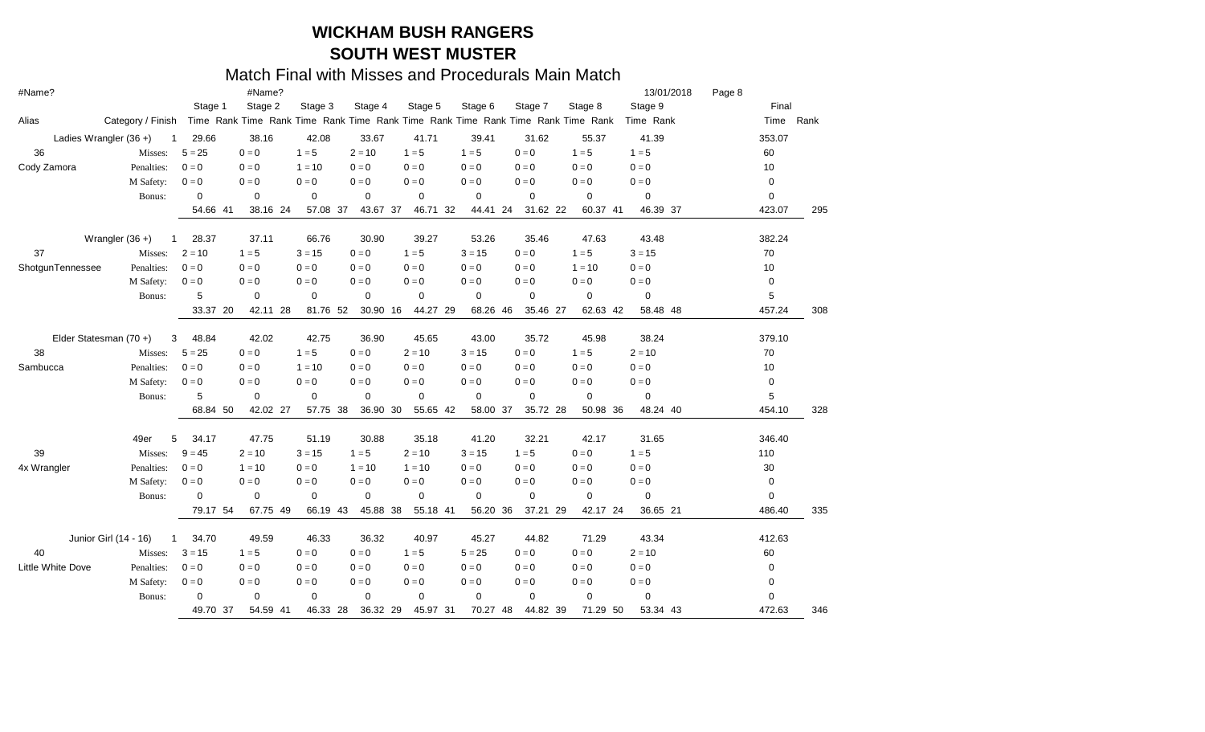| #Name?                   |                                       |              | #Name?      |             |             |             |             |                                                                                 |             | 13/01/2018  | Page 8 |           |     |
|--------------------------|---------------------------------------|--------------|-------------|-------------|-------------|-------------|-------------|---------------------------------------------------------------------------------|-------------|-------------|--------|-----------|-----|
|                          |                                       | Stage 1      | Stage 2     | Stage 3     | Stage 4     | Stage 5     | Stage 6     | Stage 7                                                                         | Stage 8     | Stage 9     |        | Final     |     |
| Alias                    | Category / Finish                     |              |             |             |             |             |             | Time Rank Time Rank Time Rank Time Rank Time Rank Time Rank Time Rank Time Rank |             | Time Rank   |        | Time Rank |     |
|                          | Ladies Wrangler $(36 +)$<br>-1        | 29.66        | 38.16       | 42.08       | 33.67       | 41.71       | 39.41       | 31.62                                                                           | 55.37       | 41.39       |        | 353.07    |     |
| 36                       | Misses:                               | $5 = 25$     | $0 = 0$     | $1 = 5$     | $2 = 10$    | $1 = 5$     | $1 = 5$     | $0 = 0$                                                                         | $1 = 5$     | $1 = 5$     |        | 60        |     |
| Cody Zamora              | Penalties:                            | $0 = 0$      | $0 = 0$     | $1 = 10$    | $0 = 0$     | $0 = 0$     | $0 = 0$     | $0 = 0$                                                                         | $0 = 0$     | $0 = 0$     |        | 10        |     |
|                          | M Safety:                             | $0 = 0$      | $0 = 0$     | $0 = 0$     | $0 = 0$     | $0 = 0$     | $0 = 0$     | $0 = 0$                                                                         | $0 = 0$     | $0 = 0$     |        | 0         |     |
|                          | Bonus:                                | 0            | 0           | $\mathbf 0$ | $\mathbf 0$ | 0           | 0           | 0                                                                               | $\mathbf 0$ | $\mathbf 0$ |        | 0         |     |
|                          |                                       | 54.66<br>-41 | 38.16 24    | 57.08 37    | 43.67 37    | 46.71 32    | 44.41 24    | 31.62 22                                                                        | 60.37 41    | 46.39 37    |        | 423.07    | 295 |
|                          | Wrangler $(36 +)$<br>-1               | 28.37        | 37.11       | 66.76       | 30.90       | 39.27       | 53.26       | 35.46                                                                           | 47.63       | 43.48       |        | 382.24    |     |
| 37                       | Misses:                               | $2 = 10$     | $1 = 5$     | $3 = 15$    | $0 = 0$     | $1 = 5$     | $3 = 15$    | $0 = 0$                                                                         | $1 = 5$     | $3 = 15$    |        | 70        |     |
| ShotgunTennessee         | Penalties:                            | $0=0$        | $0 = 0$     | $0 = 0$     | $0 = 0$     | $0 = 0$     | $0 = 0$     | $0 = 0$                                                                         | $1 = 10$    | $0 = 0$     |        | 10        |     |
|                          | M Safety:                             | $0 = 0$      | $0 = 0$     | $0 = 0$     | $0 = 0$     | $0 = 0$     | $0 = 0$     | $0 = 0$                                                                         | $0 = 0$     | $0 = 0$     |        | 0         |     |
|                          | Bonus:                                | 5            | 0           | $\mathbf 0$ | $\mathbf 0$ | 0           | $\mathbf 0$ | 0                                                                               | 0           | $\mathbf 0$ |        | 5         |     |
|                          |                                       | 33.37<br>20  | 42.11 28    | 81.76 52    | 30.90 16    | 44.27 29    | 68.26       | 46<br>35.46 27                                                                  | 62.63 42    | 58.48 48    |        | 457.24    | 308 |
|                          | Elder Statesman (70+)<br>3            | 48.84        | 42.02       | 42.75       | 36.90       | 45.65       | 43.00       | 35.72                                                                           | 45.98       | 38.24       |        | 379.10    |     |
| 38                       | Misses:                               | $5 = 25$     | $0 = 0$     | $1 = 5$     | $0 = 0$     | $2 = 10$    | $3 = 15$    | $0 = 0$                                                                         | $1 = 5$     | $2 = 10$    |        | 70        |     |
| Sambucca                 | Penalties:                            | $0 = 0$      | $0 = 0$     | $1 = 10$    | $0 = 0$     | $0 = 0$     | $0 = 0$     | $0 = 0$                                                                         | $0 = 0$     | $0 = 0$     |        | 10        |     |
|                          | M Safety:                             | $0 = 0$      | $0 = 0$     | $0 = 0$     | $0 = 0$     | $0 = 0$     | $0 = 0$     | $0 = 0$                                                                         | $0 = 0$     | $0 = 0$     |        | 0         |     |
|                          | Bonus:                                | 5            | $\mathbf 0$ | 0           | $\mathbf 0$ | 0           | 0           | 0                                                                               | 0           | $\mathbf 0$ |        | 5         |     |
|                          |                                       | 68.84<br>50  | 42.02 27    | 57.75 38    | 36.90 30    | 55.65 42    | 58.00       | 37<br>35.72 28                                                                  | 50.98 36    | 48.24 40    |        | 454.10    | 328 |
|                          | 49er<br>5                             | 34.17        | 47.75       | 51.19       | 30.88       | 35.18       | 41.20       | 32.21                                                                           | 42.17       | 31.65       |        | 346.40    |     |
| 39                       | Misses:                               | $9 = 45$     | $2 = 10$    | $3 = 15$    | $1 = 5$     | $2 = 10$    | $3 = 15$    | $1 = 5$                                                                         | $0 = 0$     | $1 = 5$     |        | 110       |     |
| 4x Wrangler              | Penalties:                            | $0 = 0$      | $1 = 10$    | $0 = 0$     | $1 = 10$    | $1 = 10$    | $0 = 0$     | $0 = 0$                                                                         | $0 = 0$     | $0 = 0$     |        | 30        |     |
|                          | M Safety:                             | $0 = 0$      | $0 = 0$     | $0 = 0$     | $0 = 0$     | $0 = 0$     | $0 = 0$     | $0 = 0$                                                                         | $0 = 0$     | $0 = 0$     |        | 0         |     |
|                          | Bonus:                                | $\Omega$     | 0           | 0           | $\mathbf 0$ | $\mathbf 0$ | $\mathbf 0$ | $\mathbf 0$                                                                     | $\mathbf 0$ | $\mathbf 0$ |        | 0         |     |
|                          |                                       | 79.17 54     | 67.75 49    | 66.19 43    | 45.88 38    | 55.18 41    | 56.20       | 36<br>37.21 29                                                                  | 42.17 24    | 36.65 21    |        | 486.40    | 335 |
|                          | Junior Girl (14 - 16)<br>$\mathbf{1}$ | 34.70        | 49.59       | 46.33       | 36.32       | 40.97       | 45.27       | 44.82                                                                           | 71.29       | 43.34       |        | 412.63    |     |
| 40                       | Misses:                               | $3 = 15$     | $1 = 5$     | $0 = 0$     | $0 = 0$     | $1 = 5$     | $5 = 25$    | $0 = 0$                                                                         | $0 = 0$     | $2 = 10$    |        | 60        |     |
| <b>Little White Dove</b> | Penalties:                            | $0 = 0$      | $0 = 0$     | $0 = 0$     | $0 = 0$     | $0 = 0$     | $0 = 0$     | $0 = 0$                                                                         | $0 = 0$     | $0 = 0$     |        | 0         |     |
|                          | M Safety:                             | $0=0$        | $0 = 0$     | $0 = 0$     | $0 = 0$     | $0 = 0$     | $0 = 0$     | $0 = 0$                                                                         | $0 = 0$     | $0 = 0$     |        | 0         |     |
|                          | Bonus:                                | 0            | 0           | 0           | $\mathbf 0$ | 0           | $\mathbf 0$ | $\mathbf 0$                                                                     | $\mathbf 0$ | $\mathbf 0$ |        | 0         |     |
|                          |                                       | 49.70 37     | 54.59 41    | 46.33 28    | 36.32 29    | 45.97 31    | 70.27       | 48<br>44.82 39                                                                  | 71.29 50    | 53.34 43    |        | 472.63    | 346 |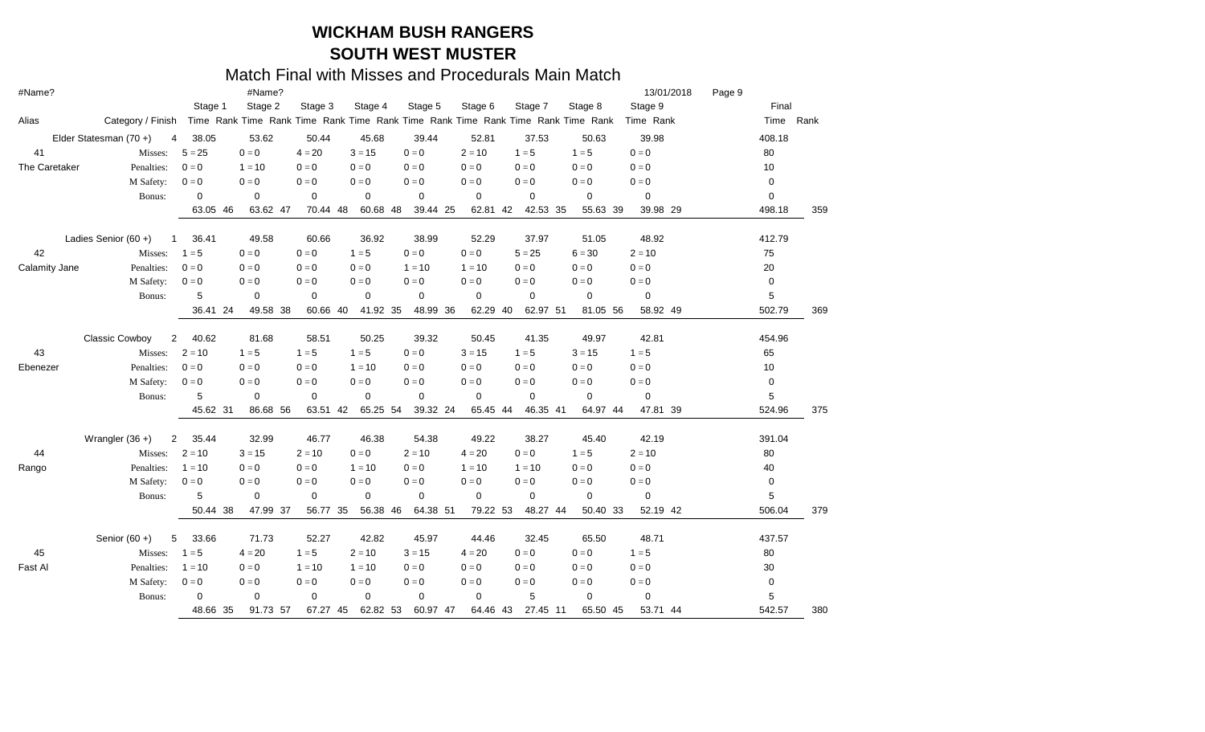| #Name?        |                                  |             | #Name?      |             |             |                |             |                                                                                 |                         | 13/01/2018  | Page 9 |            |     |
|---------------|----------------------------------|-------------|-------------|-------------|-------------|----------------|-------------|---------------------------------------------------------------------------------|-------------------------|-------------|--------|------------|-----|
|               |                                  | Stage 1     | Stage 2     | Stage 3     | Stage 4     | Stage 5        | Stage 6     | Stage 7                                                                         | Stage 8                 | Stage 9     |        | Final      |     |
| Alias         | Category / Finish                |             |             |             |             |                |             | Time Rank Time Rank Time Rank Time Rank Time Rank Time Rank Time Rank Time Rank |                         | Time Rank   |        | Time Rank  |     |
|               | Elder Statesman (70+)<br>4       | 38.05       | 53.62       | 50.44       | 45.68       | 39.44          | 52.81       | 37.53                                                                           | 50.63                   | 39.98       |        | 408.18     |     |
| 41            | Misses:                          | $5 = 25$    | $0 = 0$     | $4 = 20$    | $3 = 15$    | $0 = 0$        | $2 = 10$    | $1 = 5$                                                                         | $1 = 5$                 | $0 = 0$     |        | 80         |     |
| The Caretaker | Penalties:                       | $0 = 0$     | $1 = 10$    | $0 = 0$     | $0 = 0$     | $0 = 0$        | $0 = 0$     | $0 = 0$                                                                         | $\mathbf{0}=\mathbf{0}$ | $0 = 0$     |        | 10         |     |
|               | M Safety:                        | $0 = 0$     | $0 = 0$     | $0 = 0$     | $0 = 0$     | $0 = 0$        | $0 = 0$     | $0 = 0$                                                                         | $0 = 0$                 | $0 = 0$     |        | 0          |     |
|               | Bonus:                           | 0           | $\mathbf 0$ | $\mathbf 0$ | 0           | $\mathbf 0$    | 0           | 0                                                                               | $\mathbf 0$             | $\mathbf 0$ |        | 0          |     |
|               |                                  | 63.05 46    | 63.62 47    | 70.44 48    | 60.68 48    | 39.44 25       | 62.81 42    | 42.53 35                                                                        | 55.63 39                | 39.98 29    |        | 498.18     | 359 |
|               | Ladies Senior $(60 +)$<br>1      | 36.41       | 49.58       | 60.66       | 36.92       | 38.99          | 52.29       | 37.97                                                                           | 51.05                   | 48.92       |        | 412.79     |     |
| 42            | Misses:                          | $1 = 5$     | $0 = 0$     | $0 = 0$     | $1 = 5$     | $0 = 0$        | $0 = 0$     | $5 = 25$                                                                        | $6 = 30$                | $2 = 10$    |        | 75         |     |
| Calamity Jane | Penalties:                       | $0 = 0$     | $0 = 0$     | $0 = 0$     | $0 = 0$     | $1 = 10$       | $1 = 10$    | $0 = 0$                                                                         | $0 = 0$                 | $0 = 0$     |        | 20         |     |
|               | M Safety:                        | $0 = 0$     | $0 = 0$     | $0 = 0$     | $0 = 0$     | $0 = 0$        | $0 = 0$     | $0 = 0$                                                                         | $0 = 0$                 | $0 = 0$     |        | 0          |     |
|               | Bonus:                           | 5           | 0           | $\mathbf 0$ | $\mathbf 0$ | $\mathbf 0$    | $\mathbf 0$ | $\mathbf 0$                                                                     | $\mathbf 0$             | 0           |        | 5          |     |
|               |                                  | 36.41 24    | 49.58 38    | 60.66 40    | 41.92 35    | 48.99 36       | 62.29       | 40<br>62.97 51                                                                  | 81.05 56                | 58.92 49    |        | 502.79     | 369 |
|               | Classic Cowboy<br>$\overline{c}$ | 40.62       | 81.68       | 58.51       | 50.25       | 39.32          | 50.45       | 41.35                                                                           | 49.97                   | 42.81       |        | 454.96     |     |
| 43            | Misses:                          | $2 = 10$    | $1 = 5$     | $1 = 5$     | $1 = 5$     | $0 = 0$        | $3 = 15$    | $1 = 5$                                                                         | $3 = 15$                | $1 = 5$     |        | 65         |     |
| Ebenezer      | Penalties:                       | $0 = 0$     | $0 = 0$     | $0 = 0$     | $1 = 10$    | $0 = 0$        | $0 = 0$     | $0 = 0$                                                                         | $0 = 0$                 | $0 = 0$     |        | 10         |     |
|               | M Safety:                        | $0 = 0$     | $0 = 0$     | $0 = 0$     | $0 = 0$     | $0 = 0$        | $0 = 0$     | $0 = 0$                                                                         | $0 = 0$                 | $0 = 0$     |        | 0          |     |
|               | Bonus:                           | 5           | $\mathbf 0$ | $\mathbf 0$ | 0           | 0              | $\mathbf 0$ | 0                                                                               | 0                       | 0           |        | 5          |     |
|               |                                  | 45.62 31    | 86.68 56    | 63.51 42    | 65.25 54    | 39.32 24       | 65.45 44    | 46.35 41                                                                        | 64.97 44                | 47.81 39    |        | 524.96     | 375 |
|               | Wrangler $(36 +)$<br>2           | 35.44       | 32.99       | 46.77       | 46.38       | 54.38          | 49.22       | 38.27                                                                           | 45.40                   | 42.19       |        | 391.04     |     |
| 44            | Misses:                          | $2 = 10$    | $3 = 15$    | $2 = 10$    | $0 = 0$     | $2 = 10$       | $4 = 20$    | $0 = 0$                                                                         | $1 = 5$                 | $2 = 10$    |        | 80         |     |
| Rango         | Penalties:                       | $1 = 10$    | $0 = 0$     | $0 = 0$     | $1 = 10$    | $0 = 0$        | $1 = 10$    | $1 = 10$                                                                        | $0 = 0$                 | $0 = 0$     |        | 40         |     |
|               | M Safety:                        | $0 = 0$     | $0 = 0$     | $0 = 0$     | $0 = 0$     | $0 = 0$        | $0 = 0$     | $0 = 0$                                                                         | $0 = 0$                 | $0 = 0$     |        | 0          |     |
|               | Bonus:                           | 5           | 0           | $\mathbf 0$ | 0           | $\mathbf 0$    | $\mathbf 0$ | $\mathbf 0$                                                                     | $\mathbf 0$             | 0           |        | $\sqrt{5}$ |     |
|               |                                  | 50.44<br>38 | 47.99 37    | 56.77       | 56.38<br>35 | 64.38 51<br>46 | 79.22 53    | 48.27 44                                                                        | 50.40 33                | 52.19 42    |        | 506.04     | 379 |
|               | Senior $(60 +)$<br>5             | 33.66       | 71.73       | 52.27       | 42.82       | 45.97          | 44.46       | 32.45                                                                           | 65.50                   | 48.71       |        | 437.57     |     |
| 45            | Misses:                          | $1 = 5$     | $4 = 20$    | $1 = 5$     | $2 = 10$    | $3 = 15$       | $4 = 20$    | $0 = 0$                                                                         | $0 = 0$                 | $1 = 5$     |        | 80         |     |
| Fast Al       | Penalties:                       | $1 = 10$    | $0 = 0$     | $1 = 10$    | $1 = 10$    | $0 = 0$        | $0 = 0$     | $0 = 0$                                                                         | $0 = 0$                 | $0 = 0$     |        | 30         |     |
|               | M Safety:                        | $0 = 0$     | $0 = 0$     | $0 = 0$     | $0 = 0$     | $0 = 0$        | $0 = 0$     | $0 = 0$                                                                         | $0 = 0$                 | $0 = 0$     |        | 0          |     |
|               | Bonus:                           | 0           | $\mathbf 0$ | $\mathbf 0$ | $\mathbf 0$ | 0              | $\mathbf 0$ | 5                                                                               | 0                       | 0           |        | 5          |     |
|               |                                  | 48.66 35    | 91.73 57    | 67.27 45    | 62.82 53    | 60.97 47       | 64.46       | 27.45 11<br>43                                                                  | 65.50 45                | 53.71 44    |        | 542.57     | 380 |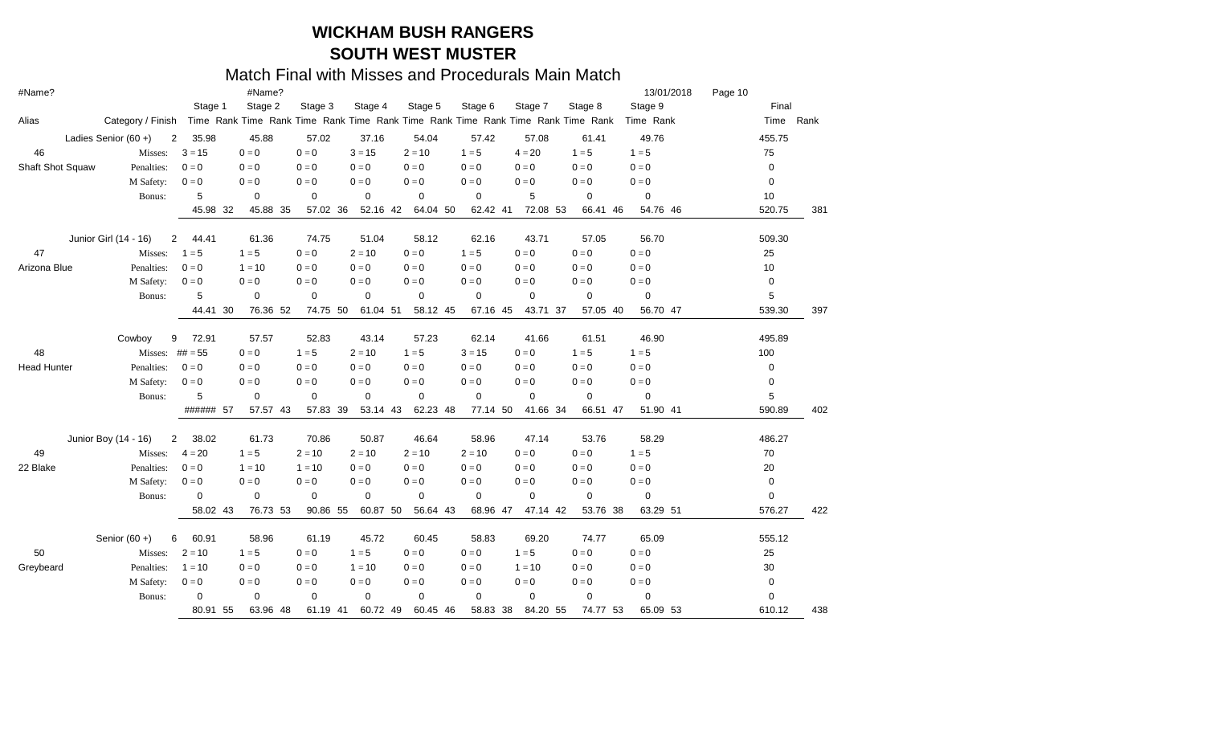| #Name?             |                        |                         | #Name?      |             |             |          |             |                                                                                 |             | 13/01/2018  | Page 10 |           |     |
|--------------------|------------------------|-------------------------|-------------|-------------|-------------|----------|-------------|---------------------------------------------------------------------------------|-------------|-------------|---------|-----------|-----|
|                    |                        | Stage 1                 | Stage 2     | Stage 3     | Stage 4     | Stage 5  | Stage 6     | Stage 7                                                                         | Stage 8     | Stage 9     |         | Final     |     |
| Alias              | Category / Finish      |                         |             |             |             |          |             | Time Rank Time Rank Time Rank Time Rank Time Rank Time Rank Time Rank Time Rank |             | Time Rank   |         | Time Rank |     |
|                    | Ladies Senior $(60 +)$ | 35.98<br>$\overline{2}$ | 45.88       | 57.02       | 37.16       | 54.04    | 57.42       | 57.08                                                                           | 61.41       | 49.76       |         | 455.75    |     |
| 46                 | Misses:                | $3 = 15$                | $0 = 0$     | $0 = 0$     | $3 = 15$    | $2 = 10$ | $1 = 5$     | $4 = 20$                                                                        | $1 = 5$     | $1 = 5$     |         | 75        |     |
| Shaft Shot Squaw   | Penalties:             | $0 = 0$                 | $0 = 0$     | $0 = 0$     | $0 = 0$     | $0 = 0$  | $0 = 0$     | $0 = 0$                                                                         | $0 = 0$     | $0=0$       |         | 0         |     |
|                    | M Safety:              | $0 = 0$                 | $0 = 0$     | $0 = 0$     | $0 = 0$     | $0 = 0$  | $0 = 0$     | $0 = 0$                                                                         | $0 = 0$     | $0=0$       |         | 0         |     |
|                    | Bonus:                 | 5                       | $\mathbf 0$ | 0           | $\mathbf 0$ | 0        | 0           | 5                                                                               | 0           | $\mathbf 0$ |         | 10        |     |
|                    |                        | 45.98<br>-32            | 45.88 35    | 57.02 36    | 52.16 42    | 64.04 50 | 62.42 41    | 72.08 53                                                                        | 66.41 46    | 54.76 46    |         | 520.75    | 381 |
|                    | Junior Girl (14 - 16)  | $\overline{2}$<br>44.41 | 61.36       | 74.75       | 51.04       | 58.12    | 62.16       | 43.71                                                                           | 57.05       | 56.70       |         | 509.30    |     |
| 47                 | Misses:                | $1 = 5$                 | $1 = 5$     | $0 = 0$     | $2 = 10$    | $0 = 0$  | $1 = 5$     | $0 = 0$                                                                         | $0 = 0$     | $0=0$       |         | 25        |     |
| Arizona Blue       | Penalties:             | $0 = 0$                 | $1 = 10$    | $0 = 0$     | $0 = 0$     | $0 = 0$  | $0 = 0$     | $0 = 0$                                                                         | $0 = 0$     | $0 = 0$     |         | 10        |     |
|                    | M Safety:              | $0 = 0$                 | $0 = 0$     | $0 = 0$     | $0 = 0$     | $0 = 0$  | $0 = 0$     | $0 = 0$                                                                         | $0 = 0$     | $0 = 0$     |         | 0         |     |
|                    | Bonus:                 | 5                       | $\mathbf 0$ | $\mathbf 0$ | 0           | 0        | 0           | $\mathbf 0$                                                                     | 0           | 0           |         | 5         |     |
|                    |                        | 44.41<br>30             | 76.36 52    | 74.75 50    | 61.04 51    | 58.12 45 | 67.16 45    | 43.71 37                                                                        | 57.05 40    | 56.70 47    |         | 539.30    | 397 |
|                    | Cowboy                 | 9<br>72.91              | 57.57       | 52.83       | 43.14       | 57.23    | 62.14       | 41.66                                                                           | 61.51       | 46.90       |         | 495.89    |     |
| 48                 |                        | Misses: $\#$ # $=$ 55   | $0 = 0$     | $1 = 5$     | $2 = 10$    | $1 = 5$  | $3 = 15$    | $0 = 0$                                                                         | $1 = 5$     | $1 = 5$     |         | 100       |     |
| <b>Head Hunter</b> | Penalties:             | $0 = 0$                 | $0 = 0$     | $0 = 0$     | $0 = 0$     | $0 = 0$  | $0 = 0$     | $0 = 0$                                                                         | $0 = 0$     | $0 = 0$     |         | 0         |     |
|                    | M Safety:              | $0 = 0$                 | $0 = 0$     | $0 = 0$     | $0 = 0$     | $0 = 0$  | $0 = 0$     | $0 = 0$                                                                         | $0 = 0$     | $0 = 0$     |         | 0         |     |
|                    | Bonus:                 | 5                       | 0           | $\mathbf 0$ | 0           | 0        | 0           | 0                                                                               | 0           | 0           |         | 5         |     |
|                    |                        | ###### 57               | 57.57 43    | 57.83 39    | 53.14 43    | 62.23 48 | 77.14 50    | 41.66 34                                                                        | 66.51 47    | 51.90 41    |         | 590.89    | 402 |
|                    | Junior Boy (14 - 16)   | $\mathbf{2}$<br>38.02   | 61.73       | 70.86       | 50.87       | 46.64    | 58.96       | 47.14                                                                           | 53.76       | 58.29       |         | 486.27    |     |
| 49                 | Misses:                | $4 = 20$                | $1 = 5$     | $2 = 10$    | $2 = 10$    | $2 = 10$ | $2 = 10$    | $0 = 0$                                                                         | $0 = 0$     | $1 = 5$     |         | 70        |     |
| 22 Blake           | Penalties:             | $0 = 0$                 | $1 = 10$    | $1 = 10$    | $0 = 0$     | $0 = 0$  | $0 = 0$     | $0 = 0$                                                                         | $0 = 0$     | $0 = 0$     |         | 20        |     |
|                    | M Safety:              | $0 = 0$                 | $0 = 0$     | $0 = 0$     | $0 = 0$     | $0 = 0$  | $0 = 0$     | $0 = 0$                                                                         | $0 = 0$     | $0 = 0$     |         | 0         |     |
|                    | Bonus:                 | $\mathbf 0$             | $\mathbf 0$ | $\mathbf 0$ | $\mathbf 0$ | 0        | $\mathbf 0$ | $\mathbf 0$                                                                     | $\mathbf 0$ | $\mathbf 0$ |         | 0         |     |
|                    |                        | 58.02<br>43             | 76.73 53    | 90.86 55    | 60.87 50    | 56.64 43 | 68.96       | 47.14 42<br>47                                                                  | 53.76 38    | 63.29 51    |         | 576.27    | 422 |
|                    | Senior $(60 +)$        | 60.91<br>6              | 58.96       | 61.19       | 45.72       | 60.45    | 58.83       | 69.20                                                                           | 74.77       | 65.09       |         | 555.12    |     |
| 50                 | Misses:                | $2 = 10$                | $1 = 5$     | $0 = 0$     | $1 = 5$     | $0 = 0$  | $0 = 0$     | $1 = 5$                                                                         | $0 = 0$     | $0 = 0$     |         | 25        |     |
| Greybeard          | Penalties:             | $1 = 10$                | $0 = 0$     | $0 = 0$     | $1 = 10$    | $0 = 0$  | $0 = 0$     | $1 = 10$                                                                        | $0 = 0$     | $0 = 0$     |         | 30        |     |
|                    | M Safety:              | $0 = 0$                 | $0=0$       | $0 = 0$     | $0 = 0$     | $0 = 0$  | $0 = 0$     | $0 = 0$                                                                         | $0 = 0$     | $0 = 0$     |         | 0         |     |
|                    | Bonus:                 | 0                       | 0           | $\mathbf 0$ | $\mathbf 0$ | 0        | $\mathbf 0$ | $\mathbf 0$                                                                     | 0           | 0           |         | 0         |     |
|                    |                        | 80.91 55                | 63.96 48    | 61.19 41    | 60.72 49    | 60.45 46 | 58.83       | 38<br>84.20 55                                                                  | 74.77 53    | 65.09 53    |         | 610.12    | 438 |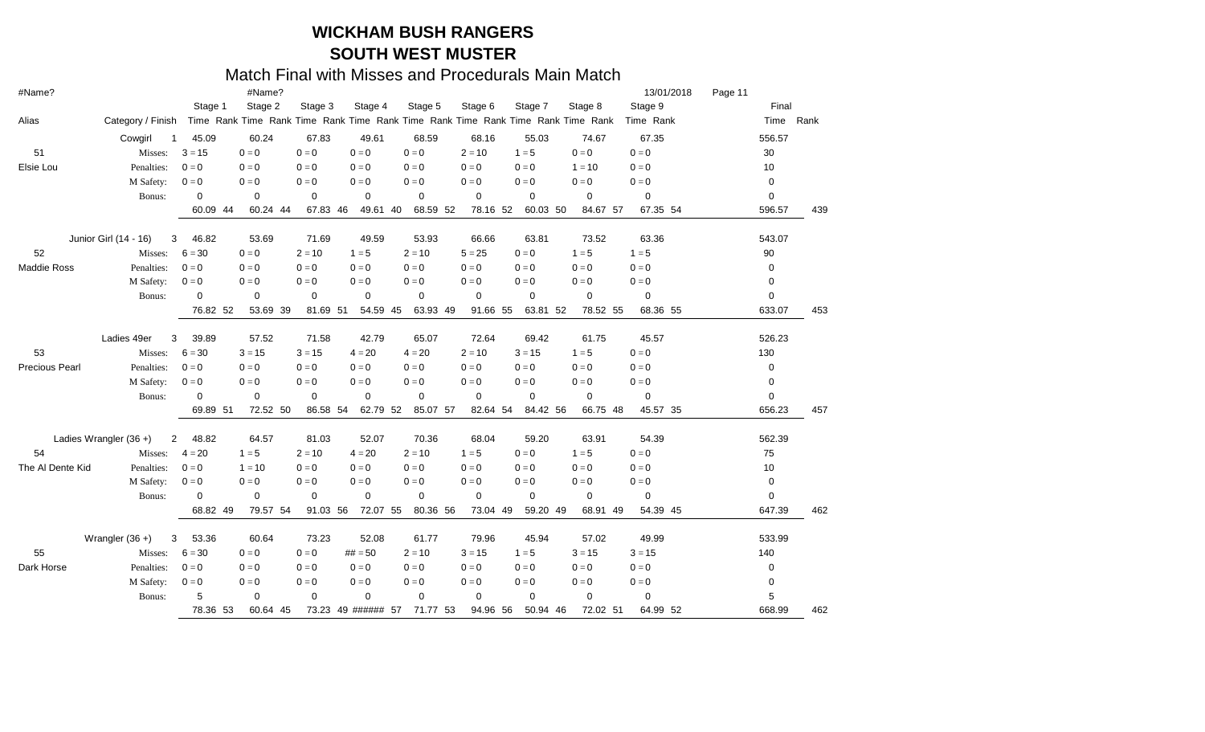| #Name?                |                          |             | #Name?          |             |                 |                                                                                 |             |                 |             | 13/01/2018              | Page 11 |             |     |
|-----------------------|--------------------------|-------------|-----------------|-------------|-----------------|---------------------------------------------------------------------------------|-------------|-----------------|-------------|-------------------------|---------|-------------|-----|
|                       |                          | Stage 1     | Stage 2         | Stage 3     | Stage 4         | Stage 5                                                                         | Stage 6     | Stage 7         | Stage 8     | Stage 9                 |         | Final       |     |
| Alias                 | Category / Finish        |             |                 |             |                 | Time Rank Time Rank Time Rank Time Rank Time Rank Time Rank Time Rank Time Rank |             |                 |             | Time Rank               |         | Time Rank   |     |
|                       | Cowgirl                  | 45.09<br>-1 | 60.24           | 67.83       | 49.61           | 68.59                                                                           | 68.16       | 55.03           | 74.67       | 67.35                   |         | 556.57      |     |
| 51                    | Misses:                  | $3 = 15$    | $0 = 0$         | $0 = 0$     | $0 = 0$         | $0 = 0$                                                                         | $2 = 10$    | $1 = 5$         | $0 = 0$     | $0 = 0$                 |         | 30          |     |
| Elsie Lou             | Penalties:               | $0 = 0$     | $0 = 0$         | $0 = 0$     | $0 = 0$         | $0 = 0$                                                                         | $0 = 0$     | $0 = 0$         | $1 = 10$    | $\mathbf{0}=\mathbf{0}$ |         | 10          |     |
|                       | M Safety:                | $0 = 0$     | $0 = 0$         | $0 = 0$     | $0=0$           | $0 = 0$                                                                         | $0 = 0$     | $0 = 0$         | $0 = 0$     | $0 = 0$                 |         | 0           |     |
|                       | Bonus:                   | 0           | $\mathbf 0$     | $\mathbf 0$ | 0               | $\mathbf 0$                                                                     | $\mathbf 0$ | $\mathbf 0$     | $\mathbf 0$ | 0                       |         | 0           |     |
|                       |                          | 60.09       | 60.24 44<br>44  | 67.83 46    | 49.61 40        | 68.59 52                                                                        | 78.16 52    | 60.03 50        | 84.67 57    | 67.35 54                |         | 596.57      | 439 |
|                       | Junior Girl (14 - 16)    | 46.82<br>3  | 53.69           | 71.69       | 49.59           | 53.93                                                                           | 66.66       | 63.81           | 73.52       | 63.36                   |         | 543.07      |     |
| 52                    | Misses:                  | $6 = 30$    | $0 = 0$         | $2 = 10$    | $1 = 5$         | $2 = 10$                                                                        | $5 = 25$    | $0 = 0$         | $1 = 5$     | $1 = 5$                 |         | 90          |     |
| Maddie Ross           | Penalties:               | $0 = 0$     | $0 = 0$         | $0 = 0$     | $0 = 0$         | $0 = 0$                                                                         | $0 = 0$     | $0 = 0$         | $0 = 0$     | $0 = 0$                 |         | $\mathbf 0$ |     |
|                       | M Safety:                | $0 = 0$     | $0 = 0$         | $0 = 0$     | $0 = 0$         | $0 = 0$                                                                         | $0 = 0$     | $0 = 0$         | $0 = 0$     | $0 = 0$                 |         | 0           |     |
|                       | Bonus:                   | 0           | $\mathbf 0$     | $\mathbf 0$ | 0               | $\mathbf 0$                                                                     | $\mathbf 0$ | $\mathbf 0$     | $\mathbf 0$ | 0                       |         | 0           |     |
|                       |                          | 76.82 52    | 53.69 39        | 81.69 51    | 54.59 45        | 63.93 49                                                                        | 91.66       | 63.81 52<br>55  | 78.52 55    | 68.36 55                |         | 633.07      | 453 |
|                       | Ladies 49er              | 3<br>39.89  | 57.52           | 71.58       | 42.79           | 65.07                                                                           | 72.64       | 69.42           | 61.75       | 45.57                   |         | 526.23      |     |
| 53                    | Misses:                  | $6 = 30$    | $3 = 15$        | $3 = 15$    | $4 = 20$        | $4 = 20$                                                                        | $2 = 10$    | $3 = 15$        | $1 = 5$     | $0 = 0$                 |         | 130         |     |
| <b>Precious Pearl</b> | Penalties:               | $0 = 0$     | $0 = 0$         | $0 = 0$     | $0 = 0$         | $0 = 0$                                                                         | $0 = 0$     | $0 = 0$         | $0 = 0$     | $0 = 0$                 |         | 0           |     |
|                       | M Safety:                | $0 = 0$     | $0 = 0$         | $0 = 0$     | $0 = 0$         | $0 = 0$                                                                         | $0 = 0$     | $0 = 0$         | $0 = 0$     | $0 = 0$                 |         | 0           |     |
|                       | Bonus:                   | $\mathbf 0$ | $\mathbf 0$     | $\mathbf 0$ | 0               | $\mathbf 0$                                                                     | $\mathbf 0$ | $\mathbf 0$     | $\mathbf 0$ | 0                       |         | 0           |     |
|                       |                          | 69.89       | -51<br>72.52 50 | 86.58 54    | 62.79 52        | 85.07 57                                                                        | 82.64 54    | 84.42 56        | 66.75 48    | 45.57 35                |         | 656.23      | 457 |
|                       | Ladies Wrangler $(36 +)$ | 2<br>48.82  | 64.57           | 81.03       | 52.07           | 70.36                                                                           | 68.04       | 59.20           | 63.91       | 54.39                   |         | 562.39      |     |
| 54                    | Misses:                  | $4 = 20$    | $1 = 5$         | $2 = 10$    | $4 = 20$        | $2 = 10$                                                                        | $1 = 5$     | $0 = 0$         | $1 = 5$     | $0 = 0$                 |         | 75          |     |
| The Al Dente Kid      | Penalties:               | $0 = 0$     | $1 = 10$        | $0 = 0$     | $0 = 0$         | $0 = 0$                                                                         | $0 = 0$     | $0 = 0$         | $0 = 0$     | $0 = 0$                 |         | 10          |     |
|                       | M Safety:                | $0 = 0$     | $0 = 0$         | $0 = 0$     | $0 = 0$         | $0 = 0$                                                                         | $0 = 0$     | $0 = 0$         | $0 = 0$     | $0 = 0$                 |         | 0           |     |
|                       | Bonus:                   | $\Omega$    | 0               | $\mathbf 0$ | 0               | $\mathbf 0$                                                                     | $\mathbf 0$ | $\mathbf 0$     | $\mathbf 0$ | 0                       |         | 0           |     |
|                       |                          | 68.82       | 79.57 54<br>-49 | 91.03 56    | 72.07 55        | 80.36 56                                                                        | 73.04       | 59.20 49<br>-49 | 68.91 49    | 54.39 45                |         | 647.39      | 462 |
|                       | Wrangler $(36 +)$        | 53.36<br>3  | 60.64           | 73.23       | 52.08           | 61.77                                                                           | 79.96       | 45.94           | 57.02       | 49.99                   |         | 533.99      |     |
| 55                    | Misses:                  | $6 = 30$    | $0 = 0$         | $0 = 0$     | $\# \# = 50$    | $2 = 10$                                                                        | $3 = 15$    | $1 = 5$         | $3 = 15$    | $3 = 15$                |         | 140         |     |
| Dark Horse            | Penalties:               | $0 = 0$     | $0 = 0$         | $0 = 0$     | $0 = 0$         | $0 = 0$                                                                         | $0 = 0$     | $0 = 0$         | $0 = 0$     | $0 = 0$                 |         | 0           |     |
|                       | M Safety:                | $0 = 0$     | $0 = 0$         | $0 = 0$     | $0 = 0$         | $0 = 0$                                                                         | $0 = 0$     | $0 = 0$         | $0 = 0$     | $0 = 0$                 |         | 0           |     |
|                       | Bonus:                   | 5           | $\mathbf 0$     | $\mathbf 0$ | $\mathbf 0$     | 0                                                                               | $\mathbf 0$ | $\mathbf 0$     | 0           | $\mathbf 0$             |         | 5           |     |
|                       |                          | 78.36 53    | 60.64 45        |             | 73.23 49 ###### | 71.77 53<br>57                                                                  | 94.96       | 50.94 46<br>56  | 72.02 51    | 64.99 52                |         | 668.99      | 462 |